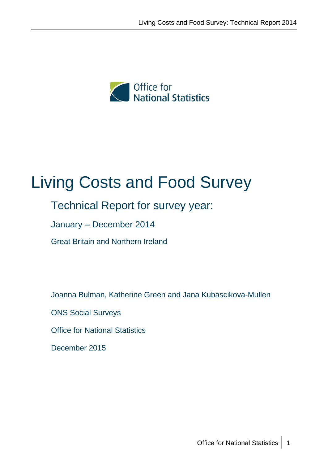

# Living Costs and Food Survey

Technical Report for survey year:

January – December 2014

Great Britain and Northern Ireland

Joanna Bulman, Katherine Green and Jana Kubascikova-Mullen

ONS Social Surveys

Office for National Statistics

December 2015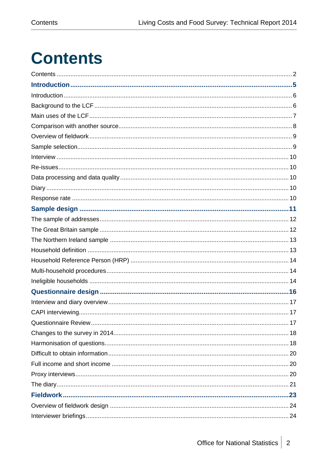# <span id="page-1-0"></span>**Contents**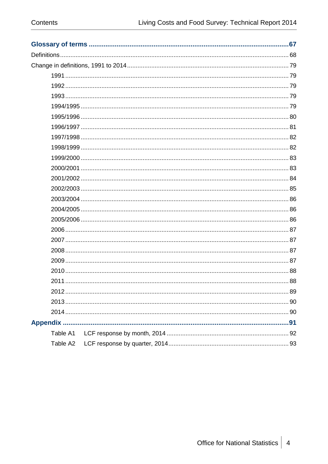| Table A1 |  |
|----------|--|
| Table A2 |  |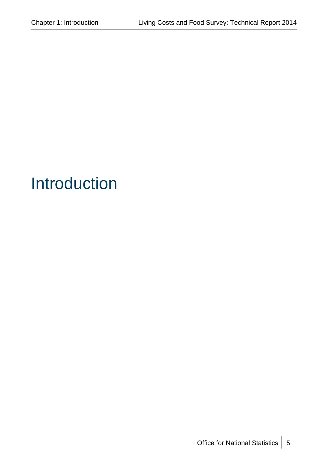## <span id="page-4-0"></span>Introduction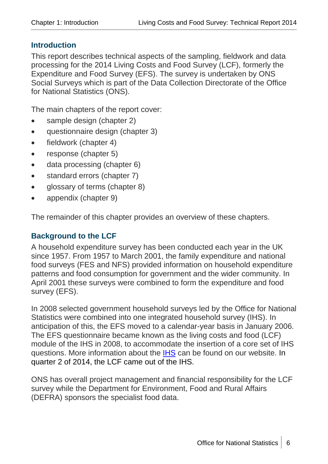#### <span id="page-5-0"></span>**Introduction**

This report describes technical aspects of the sampling, fieldwork and data processing for the 2014 Living Costs and Food Survey (LCF), formerly the Expenditure and Food Survey (EFS). The survey is undertaken by ONS Social Surveys which is part of the Data Collection Directorate of the Office for National Statistics (ONS).

The main chapters of the report cover:

- sample design (chapter 2)
- questionnaire design (chapter 3)
- fieldwork (chapter 4)
- response (chapter 5)
- data processing (chapter 6)
- standard errors (chapter 7)
- glossary of terms (chapter 8)
- appendix (chapter 9)

<span id="page-5-1"></span>The remainder of this chapter provides an overview of these chapters.

#### **Background to the LCF**

A household expenditure survey has been conducted each year in the UK since 1957. From 1957 to March 2001, the family expenditure and national food surveys (FES and NFS) provided information on household expenditure patterns and food consumption for government and the wider community. In April 2001 these surveys were combined to form the expenditure and food survey (EFS).

In 2008 selected government household surveys led by the Office for National Statistics were combined into one integrated household survey (IHS). In anticipation of this, the EFS moved to a calendar-year basis in January 2006. The EFS questionnaire became known as the living costs and food (LCF) module of the IHS in 2008, to accommodate the insertion of a core set of IHS questions. More information about the [IHS](http://www.ons.gov.uk/ons/guide-method/method-quality/specific/social-and-welfare-methodology/integrated-household-survey/index.html) can be found on our website. In quarter 2 of 2014, the LCF came out of the IHS.

ONS has overall project management and financial responsibility for the LCF survey while the Department for Environment, Food and Rural Affairs (DEFRA) sponsors the specialist food data.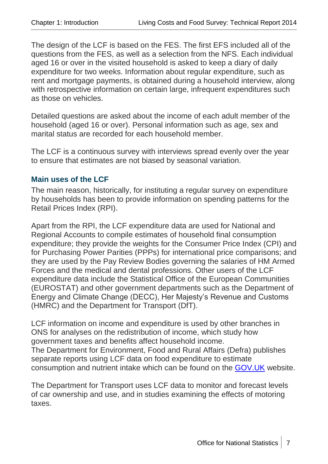The design of the LCF is based on the FES. The first EFS included all of the questions from the FES, as well as a selection from the NFS. Each individual aged 16 or over in the visited household is asked to keep a diary of daily expenditure for two weeks. Information about regular expenditure, such as rent and mortgage payments, is obtained during a household interview, along with retrospective information on certain large, infrequent expenditures such as those on vehicles.

Detailed questions are asked about the income of each adult member of the household (aged 16 or over). Personal information such as age, sex and marital status are recorded for each household member.

The LCF is a continuous survey with interviews spread evenly over the year to ensure that estimates are not biased by seasonal variation.

#### <span id="page-6-0"></span>**Main uses of the LCF**

The main reason, historically, for instituting a regular survey on expenditure by households has been to provide information on spending patterns for the Retail Prices Index (RPI).

Apart from the RPI, the LCF expenditure data are used for National and Regional Accounts to compile estimates of household final consumption expenditure; they provide the weights for the Consumer Price Index (CPI) and for Purchasing Power Parities (PPPs) for international price comparisons; and they are used by the Pay Review Bodies governing the salaries of HM Armed Forces and the medical and dental professions. Other users of the LCF expenditure data include the Statistical Office of the European Communities (EUROSTAT) and other government departments such as the Department of Energy and Climate Change (DECC), Her Majesty's Revenue and Customs (HMRC) and the Department for Transport (DfT).

LCF information on income and expenditure is used by other branches in ONS for analyses on the redistribution of income, which study how government taxes and benefits affect household income. The Department for Environment, Food and Rural Affairs (Defra) publishes separate reports using LCF data on food expenditure to estimate consumption and nutrient intake which can be found on the [GOV.UK](https://www.gov.uk/government/collections/family-food-statistics) website.

The Department for Transport uses LCF data to monitor and forecast levels of car ownership and use, and in studies examining the effects of motoring taxes.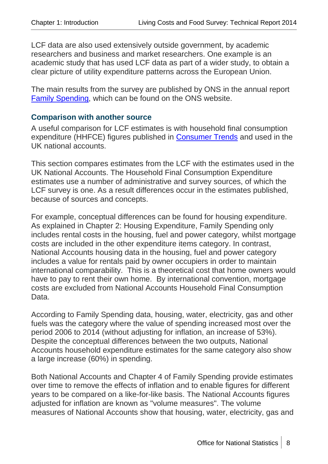LCF data are also used extensively outside government, by academic researchers and business and market researchers. One example is an academic study that has used LCF data as part of a wider study, to obtain a clear picture of utility expenditure patterns across the European Union.

The main results from the survey are published by ONS in the annual report [Family Spending,](http://www.ons.gov.uk/ons/rel/family-spending/family-spending/2014-edition/index.html) which can be found on the ONS website.

#### <span id="page-7-0"></span>**Comparison with another source**

A useful comparison for LCF estimates is with household final consumption expenditure (HHFCE) figures published in [Consumer Trends](http://www.ons.gov.uk/ons/publications/all-releases.html?definition=tcm%3A77-23619) and used in the UK national accounts.

This section compares estimates from the LCF with the estimates used in the UK National Accounts. The Household Final Consumption Expenditure estimates use a number of administrative and survey sources, of which the LCF survey is one. As a result differences occur in the estimates published, because of sources and concepts.

For example, conceptual differences can be found for housing expenditure. As explained in Chapter 2: Housing Expenditure, Family Spending only includes rental costs in the housing, fuel and power category, whilst mortgage costs are included in the other expenditure items category. In contrast, National Accounts housing data in the housing, fuel and power category includes a value for rentals paid by owner occupiers in order to maintain international comparability. This is a theoretical cost that home owners would have to pay to rent their own home. By international convention, mortgage costs are excluded from National Accounts Household Final Consumption Data.

According to Family Spending data, housing, water, electricity, gas and other fuels was the category where the value of spending increased most over the period 2006 to 2014 (without adjusting for inflation, an increase of 53%). Despite the conceptual differences between the two outputs, National Accounts household expenditure estimates for the same category also show a large increase (60%) in spending.

Both National Accounts and Chapter 4 of Family Spending provide estimates over time to remove the effects of inflation and to enable figures for different years to be compared on a like-for-like basis. The National Accounts figures adjusted for inflation are known as "volume measures". The volume measures of National Accounts show that housing, water, electricity, gas and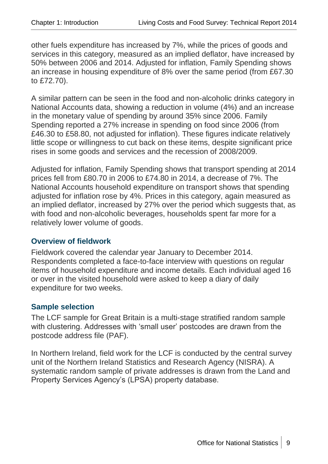other fuels expenditure has increased by 7%, while the prices of goods and services in this category, measured as an implied deflator, have increased by 50% between 2006 and 2014. Adjusted for inflation, Family Spending shows an increase in housing expenditure of 8% over the same period (from £67.30 to £72.70).

A similar pattern can be seen in the food and non-alcoholic drinks category in National Accounts data, showing a reduction in volume (4%) and an increase in the monetary value of spending by around 35% since 2006. Family Spending reported a 27% increase in spending on food since 2006 (from £46.30 to £58.80, not adjusted for inflation). These figures indicate relatively little scope or willingness to cut back on these items, despite significant price rises in some goods and services and the recession of 2008/2009.

Adjusted for inflation, Family Spending shows that transport spending at 2014 prices fell from £80.70 in 2006 to £74.80 in 2014, a decrease of 7%. The National Accounts household expenditure on transport shows that spending adjusted for inflation rose by 4%. Prices in this category, again measured as an implied deflator, increased by 27% over the period which suggests that, as with food and non-alcoholic beverages, households spent far more for a relatively lower volume of goods.

#### <span id="page-8-0"></span>**Overview of fieldwork**

Fieldwork covered the calendar year January to December 2014. Respondents completed a face-to-face interview with questions on regular items of household expenditure and income details. Each individual aged 16 or over in the visited household were asked to keep a diary of daily expenditure for two weeks.

### <span id="page-8-1"></span>**Sample selection**

The LCF sample for Great Britain is a multi-stage stratified random sample with clustering. Addresses with 'small user' postcodes are drawn from the postcode address file (PAF).

In Northern Ireland, field work for the LCF is conducted by the central survey unit of the Northern Ireland Statistics and Research Agency (NISRA). A systematic random sample of private addresses is drawn from the Land and Property Services Agency's (LPSA) property database.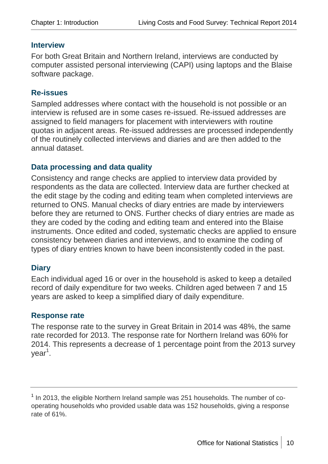#### <span id="page-9-0"></span>**Interview**

For both Great Britain and Northern Ireland, interviews are conducted by computer assisted personal interviewing (CAPI) using laptops and the Blaise software package.

#### <span id="page-9-1"></span>**Re-issues**

Sampled addresses where contact with the household is not possible or an interview is refused are in some cases re-issued. Re-issued addresses are assigned to field managers for placement with interviewers with routine quotas in adjacent areas. Re-issued addresses are processed independently of the routinely collected interviews and diaries and are then added to the annual dataset.

#### <span id="page-9-2"></span>**Data processing and data quality**

Consistency and range checks are applied to interview data provided by respondents as the data are collected. Interview data are further checked at the edit stage by the coding and editing team when completed interviews are returned to ONS. Manual checks of diary entries are made by interviewers before they are returned to ONS. Further checks of diary entries are made as they are coded by the coding and editing team and entered into the Blaise instruments. Once edited and coded, systematic checks are applied to ensure consistency between diaries and interviews, and to examine the coding of types of diary entries known to have been inconsistently coded in the past.

#### <span id="page-9-3"></span>**Diary**

Each individual aged 16 or over in the household is asked to keep a detailed record of daily expenditure for two weeks. Children aged between 7 and 15 years are asked to keep a simplified diary of daily expenditure.

#### <span id="page-9-4"></span>**Response rate**

The response rate to the survey in Great Britain in 2014 was 48%, the same rate recorded for 2013. The response rate for Northern Ireland was 60% for 2014. This represents a decrease of 1 percentage point from the 2013 survey year<sup>1</sup>.

<sup>&</sup>lt;sup>1</sup> In 2013, the eligible Northern Ireland sample was 251 households. The number of cooperating households who provided usable data was 152 households, giving a response rate of 61%.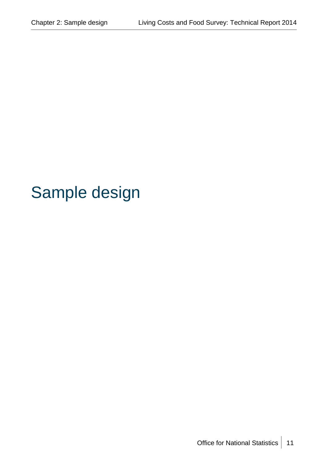# <span id="page-10-0"></span>Sample design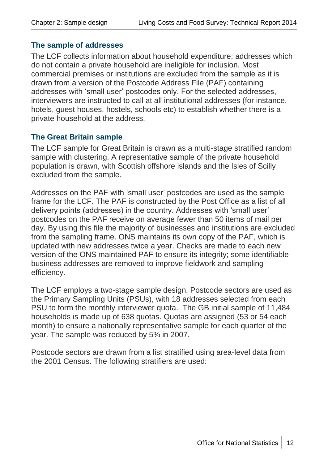#### <span id="page-11-0"></span>**The sample of addresses**

The LCF collects information about household expenditure; addresses which do not contain a private household are ineligible for inclusion. Most commercial premises or institutions are excluded from the sample as it is drawn from a version of the Postcode Address File (PAF) containing addresses with 'small user' postcodes only. For the selected addresses, interviewers are instructed to call at all institutional addresses (for instance, hotels, guest houses, hostels, schools etc) to establish whether there is a private household at the address.

#### <span id="page-11-1"></span>**The Great Britain sample**

The LCF sample for Great Britain is drawn as a multi-stage stratified random sample with clustering. A representative sample of the private household population is drawn, with Scottish offshore islands and the Isles of Scilly excluded from the sample.

Addresses on the PAF with 'small user' postcodes are used as the sample frame for the LCF. The PAF is constructed by the Post Office as a list of all delivery points (addresses) in the country. Addresses with 'small user' postcodes on the PAF receive on average fewer than 50 items of mail per day. By using this file the majority of businesses and institutions are excluded from the sampling frame. ONS maintains its own copy of the PAF, which is updated with new addresses twice a year. Checks are made to each new version of the ONS maintained PAF to ensure its integrity; some identifiable business addresses are removed to improve fieldwork and sampling efficiency.

The LCF employs a two-stage sample design. Postcode sectors are used as the Primary Sampling Units (PSUs), with 18 addresses selected from each PSU to form the monthly interviewer quota. The GB initial sample of 11,484 households is made up of 638 quotas. Quotas are assigned (53 or 54 each month) to ensure a nationally representative sample for each quarter of the year. The sample was reduced by 5% in 2007.

Postcode sectors are drawn from a list stratified using area-level data from the 2001 Census. The following stratifiers are used: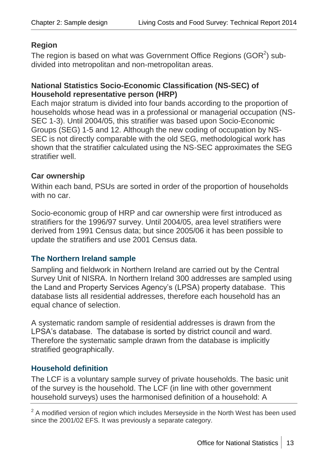#### **Region**

The region is based on what was Government Office Regions (GOR<sup>2</sup>) subdivided into metropolitan and non-metropolitan areas.

#### **National Statistics Socio-Economic Classification (NS-SEC) of Household representative person (HRP)**

Each major stratum is divided into four bands according to the proportion of households whose head was in a professional or managerial occupation (NS-SEC 1-3). Until 2004/05, this stratifier was based upon Socio-Economic Groups (SEG) 1-5 and 12. Although the new coding of occupation by NS-SEC is not directly comparable with the old SEG, methodological work has shown that the stratifier calculated using the NS-SEC approximates the SEG stratifier well.

#### **Car ownership**

Within each band, PSUs are sorted in order of the proportion of households with no car.

Socio-economic group of HRP and car ownership were first introduced as stratifiers for the 1996/97 survey. Until 2004/05, area level stratifiers were derived from 1991 Census data; but since 2005/06 it has been possible to update the stratifiers and use 2001 Census data.

#### <span id="page-12-0"></span>**The Northern Ireland sample**

Sampling and fieldwork in Northern Ireland are carried out by the Central Survey Unit of NISRA. In Northern Ireland 300 addresses are sampled using the Land and Property Services Agency's (LPSA) property database. This database lists all residential addresses, therefore each household has an equal chance of selection.

A systematic random sample of residential addresses is drawn from the LPSA's database. The database is sorted by district council and ward. Therefore the systematic sample drawn from the database is implicitly stratified geographically.

#### <span id="page-12-1"></span>**Household definition**

The LCF is a voluntary sample survey of private households. The basic unit of the survey is the household. The LCF (in line with other government household surveys) uses the harmonised definition of a household: A

 $2$  A modified version of region which includes Merseyside in the North West has been used since the 2001/02 EFS. It was previously a separate category.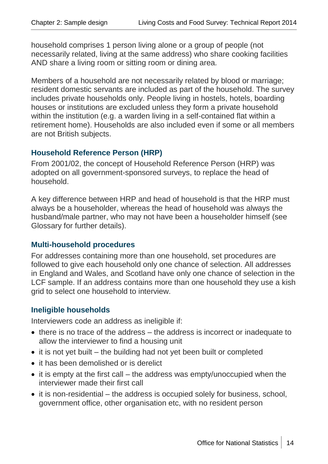household comprises 1 person living alone or a group of people (not necessarily related, living at the same address) who share cooking facilities AND share a living room or sitting room or dining area*.*

Members of a household are not necessarily related by blood or marriage; resident domestic servants are included as part of the household. The survey includes private households only. People living in hostels, hotels, boarding houses or institutions are excluded unless they form a private household within the institution (e.g. a warden living in a self-contained flat within a retirement home). Households are also included even if some or all members are not British subjects.

#### <span id="page-13-0"></span>**Household Reference Person (HRP)**

From 2001/02, the concept of Household Reference Person (HRP) was adopted on all government-sponsored surveys, to replace the head of household.

A key difference between HRP and head of household is that the HRP must always be a householder, whereas the head of household was always the husband/male partner, who may not have been a householder himself (see Glossary for further details).

#### <span id="page-13-1"></span>**Multi-household procedures**

For addresses containing more than one household, set procedures are followed to give each household only one chance of selection. All addresses in England and Wales, and Scotland have only one chance of selection in the LCF sample. If an address contains more than one household they use a kish grid to select one household to interview.

#### <span id="page-13-2"></span>**Ineligible households**

Interviewers code an address as ineligible if:

- $\bullet$  there is no trace of the address the address is incorrect or inadequate to allow the interviewer to find a housing unit
- $\bullet$  it is not yet built the building had not yet been built or completed
- it has been demolished or is derelict
- $\bullet$  it is empty at the first call the address was empty/unoccupied when the interviewer made their first call
- it is non-residential the address is occupied solely for business, school, government office, other organisation etc, with no resident person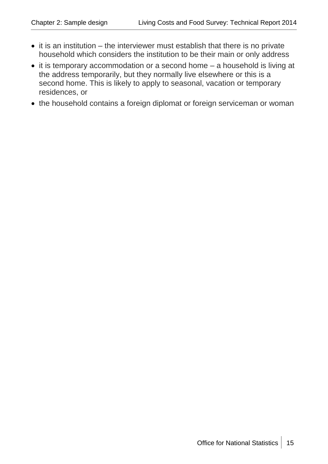- $\bullet$  it is an institution the interviewer must establish that there is no private household which considers the institution to be their main or only address
- it is temporary accommodation or a second home a household is living at the address temporarily, but they normally live elsewhere or this is a second home. This is likely to apply to seasonal, vacation or temporary residences, or
- the household contains a foreign diplomat or foreign serviceman or woman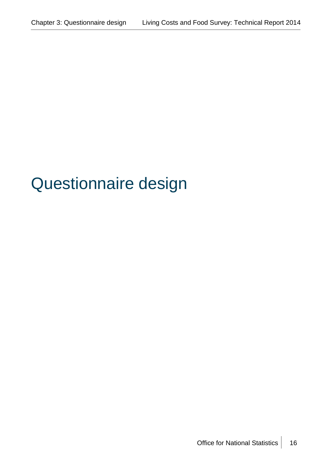## <span id="page-15-0"></span>Questionnaire design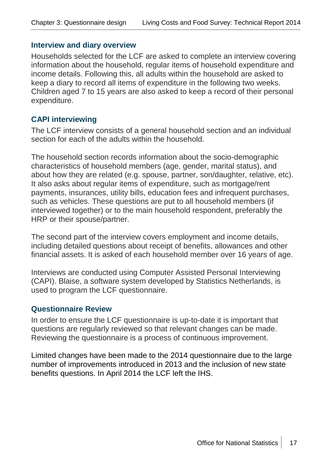#### <span id="page-16-0"></span>**Interview and diary overview**

Households selected for the LCF are asked to complete an interview covering information about the household, regular items of household expenditure and income details. Following this, all adults within the household are asked to keep a diary to record all items of expenditure in the following two weeks. Children aged 7 to 15 years are also asked to keep a record of their personal expenditure.

#### <span id="page-16-1"></span>**CAPI interviewing**

The LCF interview consists of a general household section and an individual section for each of the adults within the household.

The household section records information about the socio-demographic characteristics of household members (age, gender, marital status), and about how they are related (e.g. spouse, partner, son/daughter, relative, etc). It also asks about regular items of expenditure, such as mortgage/rent payments, insurances, utility bills, education fees and infrequent purchases, such as vehicles. These questions are put to all household members (if interviewed together) or to the main household respondent, preferably the HRP or their spouse/partner.

The second part of the interview covers employment and income details, including detailed questions about receipt of benefits, allowances and other financial assets. It is asked of each household member over 16 years of age.

Interviews are conducted using Computer Assisted Personal Interviewing (CAPI). Blaise, a software system developed by Statistics Netherlands, is used to program the LCF questionnaire.

#### <span id="page-16-2"></span>**Questionnaire Review**

In order to ensure the LCF questionnaire is up-to-date it is important that questions are regularly reviewed so that relevant changes can be made. Reviewing the questionnaire is a process of continuous improvement.

Limited changes have been made to the 2014 questionnaire due to the large number of improvements introduced in 2013 and the inclusion of new state benefits questions. In April 2014 the LCF left the IHS.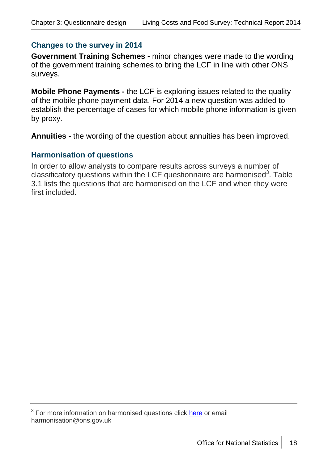#### <span id="page-17-0"></span>**Changes to the survey in 2014**

**Government Training Schemes -** minor changes were made to the wording of the government training schemes to bring the LCF in line with other ONS surveys.

**Mobile Phone Payments -** the LCF is exploring issues related to the quality of the mobile phone payment data. For 2014 a new question was added to establish the percentage of cases for which mobile phone information is given by proxy.

<span id="page-17-1"></span>**Annuities -** the wording of the question about annuities has been improved.

#### **Harmonisation of questions**

In order to allow analysts to compare results across surveys a number of classificatory questions within the LCF questionnaire are harmonised<sup>3</sup>. Table 3.1 lists the questions that are harmonised on the LCF and when they were first included.

<sup>3</sup> For more information on harmonised questions click **here** or email harmonisation@ons.gov.uk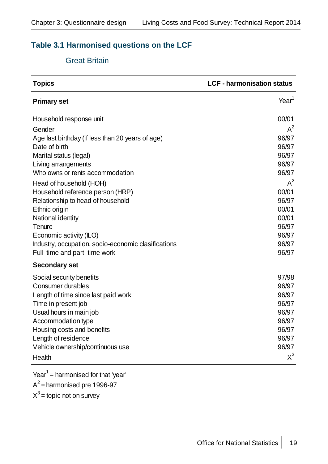#### **Table 3.1 Harmonised questions on the LCF**

#### Great Britain

| <b>Topics</b>                                                                       | <b>LCF - harmonisation status</b> |
|-------------------------------------------------------------------------------------|-----------------------------------|
| <b>Primary set</b>                                                                  | Year <sup>1</sup>                 |
| Household response unit                                                             | 00/01                             |
| Gender                                                                              | $A^2$                             |
| Age last birthday (if less than 20 years of age)                                    | 96/97                             |
| Date of birth                                                                       | 96/97                             |
| Marital status (legal)                                                              | 96/97                             |
| Living arrangements                                                                 | 96/97                             |
| Who owns or rents accommodation                                                     | 96/97                             |
| Head of household (HOH)                                                             | $A^2$                             |
| Household reference person (HRP)                                                    | 00/01                             |
| Relationship to head of household                                                   | 96/97                             |
| Ethnic origin                                                                       | 00/01                             |
| National identity                                                                   | 00/01                             |
| Tenure                                                                              | 96/97                             |
| Economic activity (ILO)                                                             | 96/97<br>96/97                    |
| Industry, occupation, socio-economic clasifications<br>Full-time and part-time work | 96/97                             |
|                                                                                     |                                   |
| <b>Secondary set</b>                                                                |                                   |
| Social security benefits                                                            | 97/98                             |
| <b>Consumer durables</b>                                                            | 96/97                             |
| Length of time since last paid work                                                 | 96/97                             |
| Time in present job                                                                 | 96/97                             |
| Usual hours in main job                                                             | 96/97                             |
| Accommodation type                                                                  | 96/97                             |
| Housing costs and benefits                                                          | 96/97                             |
| Length of residence                                                                 | 96/97                             |
| Vehicle ownership/continuous use                                                    | 96/97                             |
| Health                                                                              | $X^3$                             |

Year<sup>1</sup> = harmonised for that 'year'

 $A^2$  = harmonised pre 1996-97

 $X^3$  = topic not on survey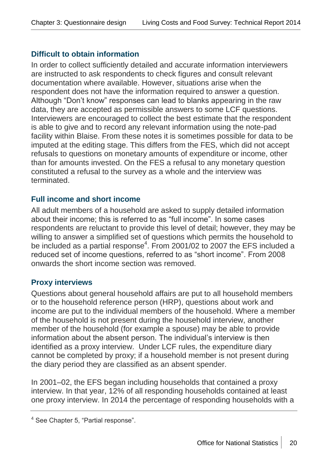#### <span id="page-19-0"></span>**Difficult to obtain information**

In order to collect sufficiently detailed and accurate information interviewers are instructed to ask respondents to check figures and consult relevant documentation where available. However, situations arise when the respondent does not have the information required to answer a question. Although "Don't know" responses can lead to blanks appearing in the raw data, they are accepted as permissible answers to some LCF questions. Interviewers are encouraged to collect the best estimate that the respondent is able to give and to record any relevant information using the note-pad facility within Blaise. From these notes it is sometimes possible for data to be imputed at the editing stage. This differs from the FES, which did not accept refusals to questions on monetary amounts of expenditure or income, other than for amounts invested. On the FES a refusal to any monetary question constituted a refusal to the survey as a whole and the interview was terminated.

#### <span id="page-19-1"></span>**Full income and short income**

All adult members of a household are asked to supply detailed information about their income; this is referred to as "full income". In some cases respondents are reluctant to provide this level of detail; however, they may be willing to answer a simplified set of questions which permits the household to be included as a partial response<sup>4</sup>. From 2001/02 to 2007 the EFS included a reduced set of income questions, referred to as "short income". From 2008 onwards the short income section was removed.

#### <span id="page-19-2"></span>**Proxy interviews**

Questions about general household affairs are put to all household members or to the household reference person (HRP), questions about work and income are put to the individual members of the household. Where a member of the household is not present during the household interview, another member of the household (for example a spouse) may be able to provide information about the absent person. The individual's interview is then identified as a proxy interview. Under LCF rules, the expenditure diary cannot be completed by proxy; if a household member is not present during the diary period they are classified as an absent spender.

In 2001–02, the EFS began including households that contained a proxy interview. In that year, 12% of all responding households contained at least one proxy interview. In 2014 the percentage of responding households with a

<sup>4</sup> See Chapter 5, "Partial response".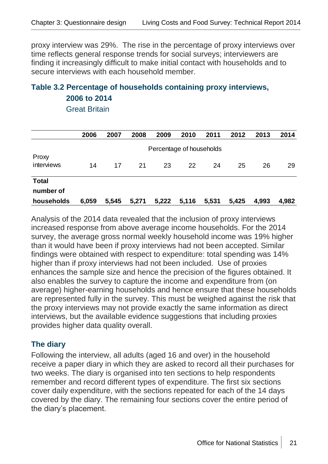proxy interview was 29%. The rise in the percentage of proxy interviews over time reflects general response trends for social surveys; interviewers are finding it increasingly difficult to make initial contact with households and to secure interviews with each household member.

#### **Table 3.2 Percentage of households containing proxy interviews, 2006 to 2014**

Great Britain

|              | 2006                     | 2007  | 2008  | 2009  | 2010  | 2011  | 2012  | 2013  | 2014  |
|--------------|--------------------------|-------|-------|-------|-------|-------|-------|-------|-------|
|              | Percentage of households |       |       |       |       |       |       |       |       |
| Proxy        |                          |       |       |       |       |       |       |       |       |
| interviews   | 14                       | 17    | 21    | 23    | 22    | 24    | 25    | 26    | 29    |
| <b>Total</b> |                          |       |       |       |       |       |       |       |       |
| number of    |                          |       |       |       |       |       |       |       |       |
| households   | 6,059                    | 5,545 | 5,271 | 5,222 | 5,116 | 5,531 | 5,425 | 4,993 | 4,982 |

Analysis of the 2014 data revealed that the inclusion of proxy interviews increased response from above average income households. For the 2014 survey, the average gross normal weekly household income was 19% higher than it would have been if proxy interviews had not been accepted. Similar findings were obtained with respect to expenditure: total spending was 14% higher than if proxy interviews had not been included. Use of proxies enhances the sample size and hence the precision of the figures obtained. It also enables the survey to capture the income and expenditure from (on average) higher-earning households and hence ensure that these households are represented fully in the survey. This must be weighed against the risk that the proxy interviews may not provide exactly the same information as direct interviews, but the available evidence suggestions that including proxies provides higher data quality overall.

#### <span id="page-20-0"></span>**The diary**

Following the interview, all adults (aged 16 and over) in the household receive a paper diary in which they are asked to record all their purchases for two weeks. The diary is organised into ten sections to help respondents remember and record different types of expenditure. The first six sections cover daily expenditure, with the sections repeated for each of the 14 days covered by the diary. The remaining four sections cover the entire period of the diary's placement.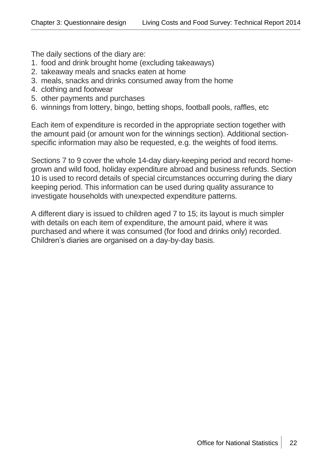The daily sections of the diary are:

- 1. food and drink brought home (excluding takeaways)
- 2. takeaway meals and snacks eaten at home
- 3. meals, snacks and drinks consumed away from the home
- 4. clothing and footwear
- 5. other payments and purchases
- 6. winnings from lottery, bingo, betting shops, football pools, raffles, etc

Each item of expenditure is recorded in the appropriate section together with the amount paid (or amount won for the winnings section). Additional sectionspecific information may also be requested, e.g. the weights of food items.

Sections 7 to 9 cover the whole 14-day diary-keeping period and record homegrown and wild food, holiday expenditure abroad and business refunds. Section 10 is used to record details of special circumstances occurring during the diary keeping period. This information can be used during quality assurance to investigate households with unexpected expenditure patterns.

A different diary is issued to children aged 7 to 15; its layout is much simpler with details on each item of expenditure, the amount paid, where it was purchased and where it was consumed (for food and drinks only) recorded. Children's diaries are organised on a day-by-day basis.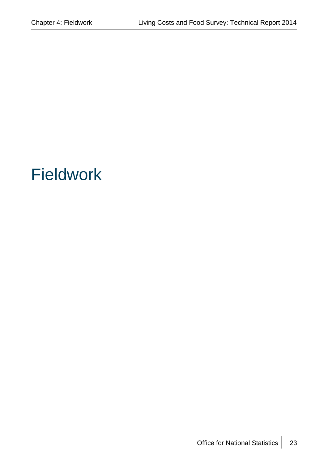## <span id="page-22-0"></span>Fieldwork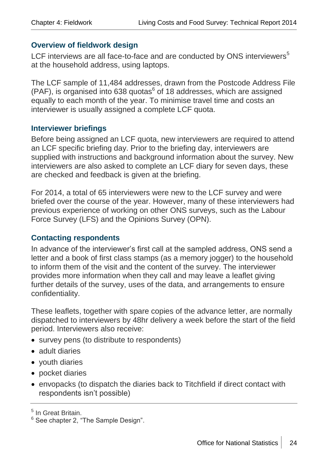#### <span id="page-23-0"></span>**Overview of fieldwork design**

LCF interviews are all face-to-face and are conducted by ONS interviewers $5$ at the household address, using laptops.

The LCF sample of 11,484 addresses, drawn from the Postcode Address File  $(PAF)$ , is organised into 638 quotas $<sup>6</sup>$  of 18 addresses, which are assigned</sup> equally to each month of the year. To minimise travel time and costs an interviewer is usually assigned a complete LCF quota.

#### <span id="page-23-1"></span>**Interviewer briefings**

Before being assigned an LCF quota, new interviewers are required to attend an LCF specific briefing day. Prior to the briefing day, interviewers are supplied with instructions and background information about the survey. New interviewers are also asked to complete an LCF diary for seven days, these are checked and feedback is given at the briefing.

For 2014, a total of 65 interviewers were new to the LCF survey and were briefed over the course of the year. However, many of these interviewers had previous experience of working on other ONS surveys, such as the Labour Force Survey (LFS) and the Opinions Survey (OPN).

#### <span id="page-23-2"></span>**Contacting respondents**

In advance of the interviewer's first call at the sampled address, ONS send a letter and a book of first class stamps (as a memory jogger) to the household to inform them of the visit and the content of the survey. The interviewer provides more information when they call and may leave a leaflet giving further details of the survey, uses of the data, and arrangements to ensure confidentiality.

These leaflets, together with spare copies of the advance letter, are normally dispatched to interviewers by 48hr delivery a week before the start of the field period. Interviewers also receive:

- survey pens (to distribute to respondents)
- adult diaries
- youth diaries
- pocket diaries
- envopacks (to dispatch the diaries back to Titchfield if direct contact with respondents isn't possible)

<sup>&</sup>lt;sup>5</sup> In Great Britain.

<sup>6</sup> See chapter 2, "The Sample Design".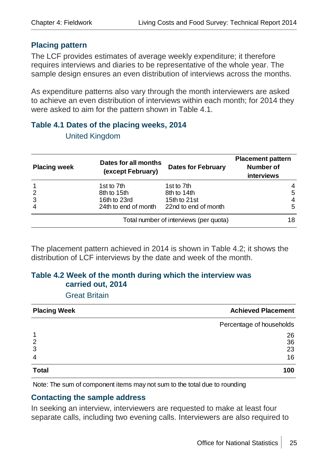#### <span id="page-24-0"></span>**Placing pattern**

The LCF provides estimates of average weekly expenditure; it therefore requires interviews and diaries to be representative of the whole year. The sample design ensures an even distribution of interviews across the months.

As expenditure patterns also vary through the month interviewers are asked to achieve an even distribution of interviews within each month; for 2014 they were asked to aim for the pattern shown in Table 4.1.

#### **Table 4.1 Dates of the placing weeks, 2014**

| <b>Placing week</b> | Dates for all months<br>(except February) | <b>Dates for February</b> | <b>Placement pattern</b><br><b>Number of</b><br>interviews |
|---------------------|-------------------------------------------|---------------------------|------------------------------------------------------------|
|                     | 1st to 7th                                | 1st to 7th                |                                                            |
|                     | 8th to 15th                               | 8th to 14th               | 5                                                          |
|                     | 16th to 23rd                              | 15th to 21st              |                                                            |
|                     | 24th to end of month                      | 22nd to end of month      | 5                                                          |
|                     | 18                                        |                           |                                                            |

#### United Kingdom

The placement pattern achieved in 2014 is shown in Table 4.2; it shows the distribution of LCF interviews by the date and week of the month.

#### **Table 4.2 Week of the month during which the interview was carried out, 2014**

Great Britain

| <b>Placing Week</b> | <b>Achieved Placement</b> |  |  |
|---------------------|---------------------------|--|--|
|                     | Percentage of households  |  |  |
|                     | 26                        |  |  |
| 2                   | 36                        |  |  |
| 3                   | 23                        |  |  |
| $\overline{4}$      | 16                        |  |  |
| <b>Total</b>        | 100                       |  |  |

Note: The sum of component items may not sum to the total due to rounding

#### <span id="page-24-1"></span>**Contacting the sample address**

In seeking an interview, interviewers are requested to make at least four separate calls, including two evening calls. Interviewers are also required to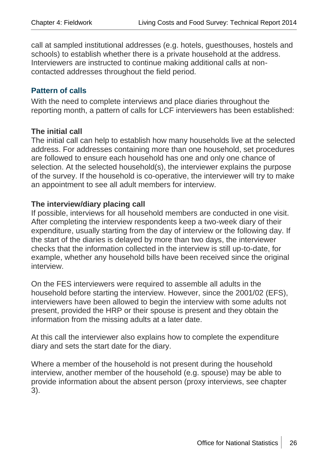call at sampled institutional addresses (e.g. hotels, guesthouses, hostels and schools) to establish whether there is a private household at the address. Interviewers are instructed to continue making additional calls at noncontacted addresses throughout the field period.

#### <span id="page-25-0"></span>**Pattern of calls**

With the need to complete interviews and place diaries throughout the reporting month, a pattern of calls for LCF interviewers has been established:

#### **The initial call**

The initial call can help to establish how many households live at the selected address. For addresses containing more than one household, set procedures are followed to ensure each household has one and only one chance of selection. At the selected household(s), the interviewer explains the purpose of the survey. If the household is co-operative, the interviewer will try to make an appointment to see all adult members for interview.

#### **The interview/diary placing call**

If possible, interviews for all household members are conducted in one visit. After completing the interview respondents keep a two-week diary of their expenditure, usually starting from the day of interview or the following day. If the start of the diaries is delayed by more than two days, the interviewer checks that the information collected in the interview is still up-to-date, for example, whether any household bills have been received since the original interview.

On the FES interviewers were required to assemble all adults in the household before starting the interview. However, since the 2001/02 (EFS), interviewers have been allowed to begin the interview with some adults not present, provided the HRP or their spouse is present and they obtain the information from the missing adults at a later date.

At this call the interviewer also explains how to complete the expenditure diary and sets the start date for the diary.

Where a member of the household is not present during the household interview, another member of the household (e.g. spouse) may be able to provide information about the absent person (proxy interviews, see chapter 3).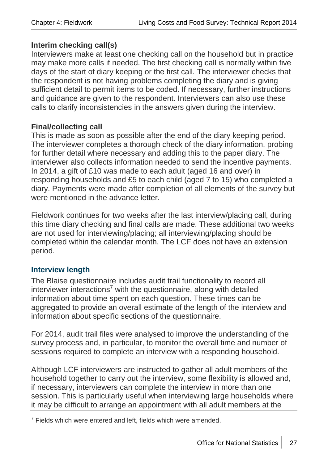#### **Interim checking call(s)**

Interviewers make at least one checking call on the household but in practice may make more calls if needed. The first checking call is normally within five days of the start of diary keeping or the first call. The interviewer checks that the respondent is not having problems completing the diary and is giving sufficient detail to permit items to be coded. If necessary, further instructions and guidance are given to the respondent. Interviewers can also use these calls to clarify inconsistencies in the answers given during the interview.

#### **Final/collecting call**

This is made as soon as possible after the end of the diary keeping period. The interviewer completes a thorough check of the diary information, probing for further detail where necessary and adding this to the paper diary. The interviewer also collects information needed to send the incentive payments. In 2014, a gift of £10 was made to each adult (aged 16 and over) in responding households and £5 to each child (aged 7 to 15) who completed a diary. Payments were made after completion of all elements of the survey but were mentioned in the advance letter.

Fieldwork continues for two weeks after the last interview/placing call, during this time diary checking and final calls are made. These additional two weeks are not used for interviewing/placing; all interviewing/placing should be completed within the calendar month. The LCF does not have an extension period.

#### <span id="page-26-0"></span>**Interview length**

The Blaise questionnaire includes audit trail functionality to record all interviewer interactions<sup>7</sup> with the questionnaire, along with detailed information about time spent on each question. These times can be aggregated to provide an overall estimate of the length of the interview and information about specific sections of the questionnaire.

For 2014, audit trail files were analysed to improve the understanding of the survey process and, in particular, to monitor the overall time and number of sessions required to complete an interview with a responding household.

Although LCF interviewers are instructed to gather all adult members of the household together to carry out the interview, some flexibility is allowed and, if necessary, interviewers can complete the interview in more than one session. This is particularly useful when interviewing large households where it may be difficult to arrange an appointment with all adult members at the

 $7$  Fields which were entered and left, fields which were amended.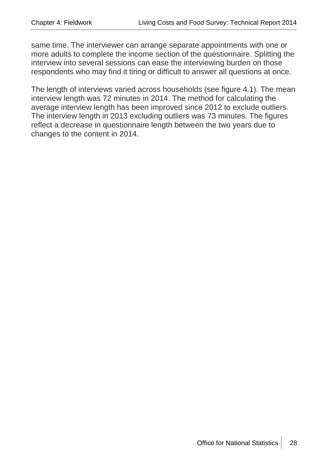same time. The interviewer can arrange separate appointments with one or more adults to complete the income section of the questionnaire. Splitting the interview into several sessions can ease the interviewing burden on those respondents who may find it tiring or difficult to answer all questions at once.

The length of interviews varied across households (see figure 4.1). The mean interview length was 72 minutes in 2014. The method for calculating the average interview length has been improved since 2012 to exclude outliers. The interview length in 2013 excluding outliers was 73 minutes. The figures reflect a decrease in questionnaire length between the two years due to changes to the content in 2014.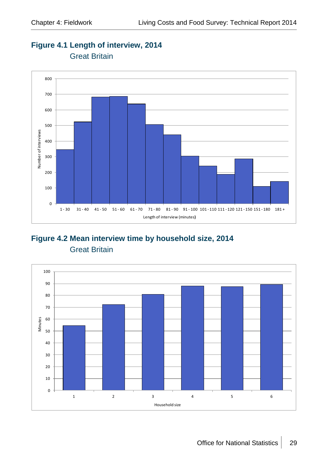



### **Figure 4.2 Mean interview time by household size, 2014** Great Britain

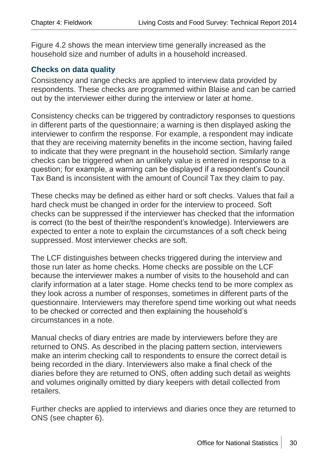Figure 4.2 shows the mean interview time generally increased as the household size and number of adults in a household increased.

#### <span id="page-29-0"></span>**Checks on data quality**

Consistency and range checks are applied to interview data provided by respondents. These checks are programmed within Blaise and can be carried out by the interviewer either during the interview or later at home.

Consistency checks can be triggered by contradictory responses to questions in different parts of the questionnaire; a warning is then displayed asking the interviewer to confirm the response. For example, a respondent may indicate that they are receiving maternity benefits in the income section, having failed to indicate that they were pregnant in the household section. Similarly range checks can be triggered when an unlikely value is entered in response to a question; for example, a warning can be displayed if a respondent's Council Tax Band is inconsistent with the amount of Council Tax they claim to pay.

These checks may be defined as either hard or soft checks. Values that fail a hard check must be changed in order for the interview to proceed. Soft checks can be suppressed if the interviewer has checked that the information is correct (to the best of their/the respondent's knowledge). Interviewers are expected to enter a note to explain the circumstances of a soft check being suppressed. Most interviewer checks are soft.

The LCF distinguishes between checks triggered during the interview and those run later as home checks*.* Home checks are possible on the LCF because the interviewer makes a number of visits to the household and can clarify information at a later stage. Home checks tend to be more complex as they look across a number of responses, sometimes in different parts of the questionnaire. Interviewers may therefore spend time working out what needs to be checked or corrected and then explaining the household's circumstances in a note.

Manual checks of diary entries are made by interviewers before they are returned to ONS. As described in the placing pattern section, interviewers make an interim checking call to respondents to ensure the correct detail is being recorded in the diary. Interviewers also make a final check of the diaries before they are returned to ONS, often adding such detail as weights and volumes originally omitted by diary keepers with detail collected from retailers.

Further checks are applied to interviews and diaries once they are returned to ONS (see chapter 6).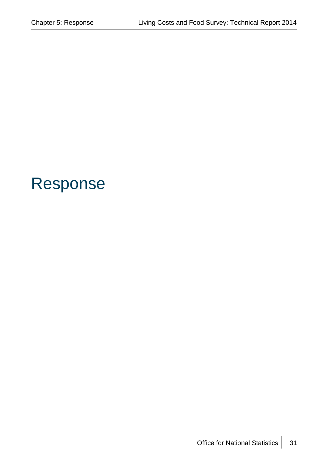### <span id="page-30-0"></span>Response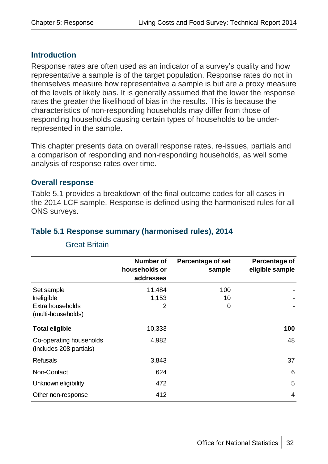#### <span id="page-31-0"></span>**Introduction**

Response rates are often used as an indicator of a survey's quality and how representative a sample is of the target population. Response rates do not in themselves measure how representative a sample is but are a proxy measure of the levels of likely bias. It is generally assumed that the lower the response rates the greater the likelihood of bias in the results. This is because the characteristics of non-responding households may differ from those of responding households causing certain types of households to be underrepresented in the sample.

This chapter presents data on overall response rates, re-issues, partials and a comparison of responding and non-responding households, as well some analysis of response rates over time.

#### <span id="page-31-1"></span>**Overall response**

Great Britain

Table 5.1 provides a breakdown of the final outcome codes for all cases in the 2014 LCF sample. Response is defined using the harmonised rules for all ONS surveys.

|                                                                           | <b>Number of</b><br>households or<br>addresses | Percentage of set<br>sample | Percentage of<br>eligible sample |
|---------------------------------------------------------------------------|------------------------------------------------|-----------------------------|----------------------------------|
| Set sample<br><b>Ineligible</b><br>Extra households<br>(multi-households) | 11,484<br>1,153<br>2                           | 100<br>10<br>0              |                                  |
| <b>Total eligible</b>                                                     | 10,333                                         |                             | 100                              |
| Co-operating households<br>(includes 208 partials)                        | 4,982                                          |                             | 48                               |
| <b>Refusals</b>                                                           | 3,843                                          |                             | 37                               |
| Non-Contact                                                               | 624                                            |                             | 6                                |
| Unknown eligibility                                                       | 472                                            |                             | 5                                |
| Other non-response                                                        | 412                                            |                             | $\overline{4}$                   |

#### **Table 5.1 Response summary (harmonised rules), 2014**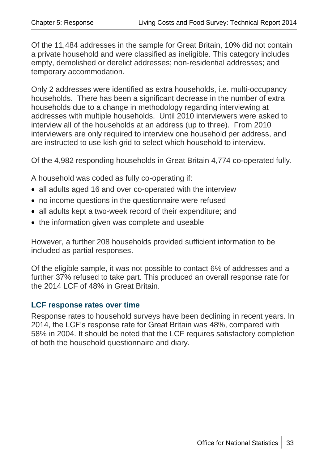Of the 11,484 addresses in the sample for Great Britain, 10% did not contain a private household and were classified as ineligible. This category includes empty, demolished or derelict addresses; non-residential addresses; and temporary accommodation.

Only 2 addresses were identified as extra households, i.e. multi-occupancy households. There has been a significant decrease in the number of extra households due to a change in methodology regarding interviewing at addresses with multiple households. Until 2010 interviewers were asked to interview all of the households at an address (up to three). From 2010 interviewers are only required to interview one household per address, and are instructed to use kish grid to select which household to interview.

Of the 4,982 responding households in Great Britain 4,774 co-operated fully.

A household was coded as fully co-operating if:

- all adults aged 16 and over co-operated with the interview
- no income questions in the questionnaire were refused
- all adults kept a two-week record of their expenditure; and
- the information given was complete and useable

However, a further 208 households provided sufficient information to be included as partial responses.

Of the eligible sample, it was not possible to contact 6% of addresses and a further 37% refused to take part. This produced an overall response rate for the 2014 LCF of 48% in Great Britain.

#### <span id="page-32-0"></span>**LCF response rates over time**

Response rates to household surveys have been declining in recent years. In 2014, the LCF's response rate for Great Britain was 48%, compared with 58% in 2004. It should be noted that the LCF requires satisfactory completion of both the household questionnaire and diary.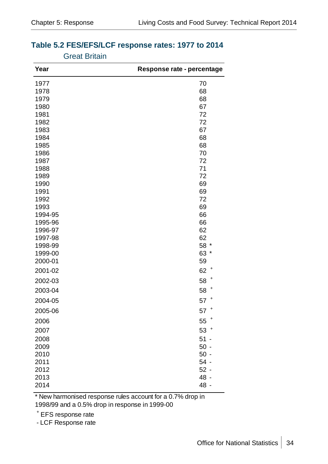| Year         | Response rate - percentage |
|--------------|----------------------------|
| 1977         | 70                         |
| 1978         | 68                         |
| 1979         | 68                         |
| 1980         | 67                         |
| 1981         | 72                         |
| 1982         | 72                         |
| 1983         | 67                         |
| 1984         | 68                         |
| 1985         | 68                         |
| 1986<br>1987 | 70<br>72                   |
| 1988         | 71                         |
| 1989         | 72                         |
| 1990         | 69                         |
| 1991         | 69                         |
| 1992         | 72                         |
| 1993         | 69                         |
| 1994-95      | 66                         |
| 1995-96      | 66                         |
| 1996-97      | 62                         |
| 1997-98      | 62                         |
| 1998-99      | 58 *                       |
| 1999-00      | 63 *                       |
| 2000-01      | 59                         |
| 2001-02      | $\ddot{\phantom{1}}$<br>62 |
| 2002-03      | $\ddot{\phantom{1}}$<br>58 |
| 2003-04      | $\ddot{\phantom{1}}$<br>58 |
| 2004-05      | 57                         |
| 2005-06      | $\ddot{\phantom{1}}$<br>57 |
| 2006         | $^{+}$<br>55               |
| 2007         | $53 +$                     |
| 2008         | $51 -$                     |
| 2009         | $50 -$                     |
| 2010         | $50 -$                     |
| 2011         | $54 -$                     |
| 2012         | $52 -$                     |
| 2013         | 48 -                       |
| 2014         | 48 -                       |

### **Table 5.2 FES/EFS/LCF response rates: 1977 to 2014**

Great Britain

\* New harmonised response rules account for a 0.7% drop in 1998/99 and a 0.5% drop in response in 1999-00

+ EFS response rate

- LCF Response rate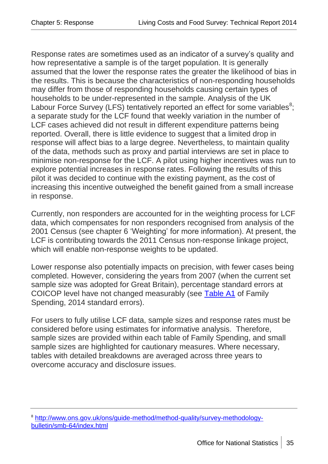Response rates are sometimes used as an indicator of a survey's quality and how representative a sample is of the target population. It is generally assumed that the lower the response rates the greater the likelihood of bias in the results. This is because the characteristics of non-responding households may differ from those of responding households causing certain types of households to be under-represented in the sample. Analysis of the UK Labour Force Survey (LFS) tentatively reported an effect for some variables<sup>8</sup>; a separate study for the LCF found that weekly variation in the number of LCF cases achieved did not result in different expenditure patterns being reported. Overall, there is little evidence to suggest that a limited drop in response will affect bias to a large degree. Nevertheless, to maintain quality of the data, methods such as proxy and partial interviews are set in place to minimise non-response for the LCF. A pilot using higher incentives was run to explore potential increases in response rates. Following the results of this pilot it was decided to continue with the existing payment, as the cost of increasing this incentive outweighed the benefit gained from a small increase in response.

Currently, non responders are accounted for in the weighting process for LCF data, which compensates for non responders recognised from analysis of the 2001 Census (see chapter 6 'Weighting' for more information). At present, the LCF is contributing towards the 2011 Census non-response linkage project, which will enable non-response weights to be updated.

Lower response also potentially impacts on precision, with fewer cases being completed. However, considering the years from 2007 (when the current set sample size was adopted for Great Britain), percentage standard errors at COICOP level have not changed measurably (see [Table A1](http://www.ons.gov.uk/ons/rel/family-spending/family-spending/2014-edition/rft-a1-final---2013.xls) of Family Spending, 2014 standard errors).

For users to fully utilise LCF data, sample sizes and response rates must be considered before using estimates for informative analysis. Therefore, sample sizes are provided within each table of Family Spending, and small sample sizes are highlighted for cautionary measures. Where necessary, tables with detailed breakdowns are averaged across three years to overcome accuracy and disclosure issues.

<sup>8</sup>[http://www.ons.gov.uk/ons/guide-method/method-quality/survey-methodology](http://www.ons.gov.uk/ons/guide-method/method-quality/survey-methodology-bulletin/smb-64/index.html)[bulletin/smb-64/index.html](http://www.ons.gov.uk/ons/guide-method/method-quality/survey-methodology-bulletin/smb-64/index.html)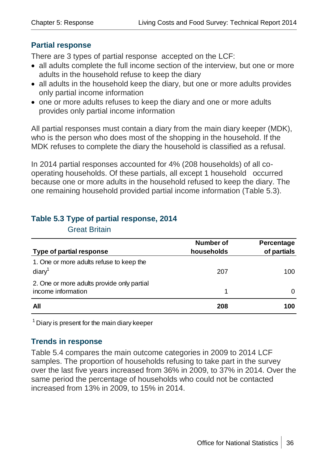#### <span id="page-35-0"></span>**Partial response**

There are 3 types of partial response accepted on the LCF:

- all adults complete the full income section of the interview, but one or more adults in the household refuse to keep the diary
- all adults in the household keep the diary, but one or more adults provides only partial income information
- one or more adults refuses to keep the diary and one or more adults provides only partial income information

All partial responses must contain a diary from the main diary keeper (MDK), who is the person who does most of the shopping in the household. If the MDK refuses to complete the diary the household is classified as a refusal.

In 2014 partial responses accounted for 4% (208 households) of all cooperating households. Of these partials, all except 1 household occurred because one or more adults in the household refused to keep the diary. The one remaining household provided partial income information (Table 5.3).

#### **Table 5.3 Type of partial response, 2014**

| Type of partial response                                         | <b>Number of</b><br>households | Percentage<br>of partials |
|------------------------------------------------------------------|--------------------------------|---------------------------|
| 1. One or more adults refuse to keep the<br>diary <sup>1</sup>   | 207                            | 100                       |
| 2. One or more adults provide only partial<br>income information |                                | 0                         |
| All                                                              | 208                            | 100                       |

Great Britain

 $1$  Diary is present for the main diary keeper

#### <span id="page-35-1"></span>**Trends in response**

Table 5.4 compares the main outcome categories in 2009 to 2014 LCF samples. The proportion of households refusing to take part in the survey over the last five years increased from 36% in 2009, to 37% in 2014. Over the same period the percentage of households who could not be contacted increased from 13% in 2009, to 15% in 2014.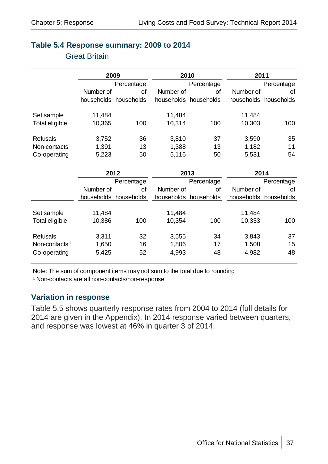# **Table 5.4 Response summary: 2009 to 2014** Great Britain

|                           | 2009       |            | 2010       |               | 2011       |            |
|---------------------------|------------|------------|------------|---------------|------------|------------|
|                           |            | Percentage |            | Percentage    |            | Percentage |
|                           | Number of  | <b>of</b>  | Number of  | Ωf            | Number of  | of         |
|                           | households | households | households | households    | households | households |
|                           |            |            |            |               |            |            |
| Set sample                | 11,484     |            | 11,484     |               | 11,484     |            |
| Total eligible            | 10,365     | 100        | 10,314     | 100           | 10,303     | 100        |
|                           |            |            |            |               |            |            |
| <b>Refusals</b>           | 3,752      | 36         | 3,810      | 37            | 3,590      | 35         |
| Non-contacts              | 1,391      | 13         | 1,388      | 13            | 1,182      | 11         |
| Co-operating              | 5,223      | 50         | 5,116      | 50            | 5,531      | 54         |
|                           |            |            |            |               |            |            |
|                           |            |            |            |               |            |            |
|                           | 2012       |            | 2013       |               |            | 2014       |
|                           |            | Percentage |            | Percentage    |            | Percentage |
|                           | Number of  | <b>of</b>  | Number of  | <sub>of</sub> | Number of  | of         |
|                           | households | households | households | households    | households | households |
|                           |            |            |            |               |            |            |
| Set sample                | 11,484     |            | 11,484     |               | 11,484     |            |
| Total eligible            | 10,386     | 100        | 10,354     | 100           | 10,333     | 100        |
|                           |            |            |            |               |            |            |
| <b>Refusals</b>           | 3,311      | 32         | 3,555      | 34            | 3,843      | 37         |
| Non-contacts <sup>1</sup> | 1,650      | 16         | 1,806      | 17            | 1,508      | 15         |
| Co-operating              | 5,425      | 52         | 4,993      | 48            | 4,982      | 48         |

Note: The sum of component items may not sum to the total due to rounding <sup>1</sup> Non-contacts are all non-contacts/non-response

## **Variation in response**

Table 5.5 shows quarterly response rates from 2004 to 2014 (full details for 2014 are given in the Appendix). In 2014 response varied between quarters, and response was lowest at 46% in quarter 3 of 2014.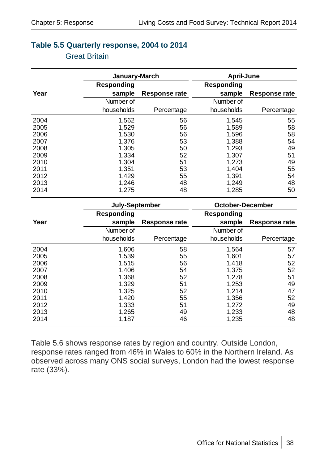# **Table 5.5 Quarterly response, 2004 to 2014** Great Britain

|      | January-March     |               | <b>April-June</b> |               |
|------|-------------------|---------------|-------------------|---------------|
|      | <b>Responding</b> |               | <b>Responding</b> |               |
| Year | sample            | Response rate | sample            | Response rate |
|      | Number of         |               | Number of         |               |
|      | households        | Percentage    | households        | Percentage    |
| 2004 | 1,562             | 56            | 1,545             | 55            |
| 2005 | 1,529             | 56            | 1,589             | 58            |
| 2006 | 1,530             | 56            | 1,596             | 58            |
| 2007 | 1,376             | 53            | 1,388             | 54            |
| 2008 | 1,305             | 50            | 1,293             | 49            |
| 2009 | 1,334             | 52            | 1,307             | 51            |
| 2010 | 1,304             | 51            | 1,273             | 49            |
| 2011 | 1,351             | 53            | 1,404             | 55            |
| 2012 | 1,429             | 55            | 1,391             | 54            |
| 2013 | 1,246             | 48            | 1,249             | 48            |
| 2014 | 1,275             | 48            | 1,285             | 50            |

|      | <b>July-September</b> |               | <b>October-December</b> |               |
|------|-----------------------|---------------|-------------------------|---------------|
|      | <b>Responding</b>     |               | <b>Responding</b>       |               |
| Year | sample                | Response rate | sample                  | Response rate |
|      | Number of             |               | Number of               |               |
|      | households            | Percentage    | households              | Percentage    |
| 2004 | 1,606                 | 58            | 1,564                   | 57            |
| 2005 | 1,539                 | 55            | 1,601                   | 57            |
| 2006 | 1,515                 | 56            | 1,418                   | 52            |
| 2007 | 1,406                 | 54            | 1,375                   | 52            |
| 2008 | 1,368                 | 52            | 1,278                   | 51            |
| 2009 | 1,329                 | 51            | 1,253                   | 49            |
| 2010 | 1,325                 | 52            | 1,214                   | 47            |
| 2011 | 1,420                 | 55            | 1,356                   | 52            |
| 2012 | 1,333                 | 51            | 1,272                   | 49            |
| 2013 | 1,265                 | 49            | 1,233                   | 48            |
| 2014 | 1,187                 | 46            | 1,235                   | 48            |

Table 5.6 shows response rates by region and country. Outside London, response rates ranged from 46% in Wales to 60% in the Northern Ireland. As observed across many ONS social surveys, London had the lowest response rate (33%).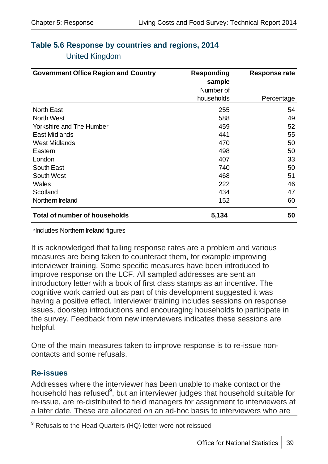| <b>Government Office Region and Country</b> | <b>Responding</b> | Response rate |  |
|---------------------------------------------|-------------------|---------------|--|
|                                             | sample            |               |  |
|                                             | Number of         |               |  |
|                                             | households        | Percentage    |  |
| <b>North East</b>                           | 255               | 54            |  |
| <b>North West</b>                           | 588               | 49            |  |
| <b>Yorkshire and The Humber</b>             | 459               | 52            |  |
| East Midlands                               | 441               | 55            |  |
| <b>West Midlands</b>                        | 470               | 50            |  |
| Eastern                                     | 498               | 50            |  |
| London                                      | 407               | 33            |  |
| South East                                  | 740               | 50            |  |
| South West                                  | 468               | 51            |  |
| Wales                                       | 222               | 46            |  |
| Scotland                                    | 434               | 47            |  |
| Northern Ireland                            | 152               | 60            |  |
| <b>Total of number of households</b>        | 5,134             | 50            |  |

## **Table 5.6 Response by countries and regions, 2014** United Kingdom

\*Includes Northern Ireland figures

It is acknowledged that falling response rates are a problem and various measures are being taken to counteract them, for example improving interviewer training. Some specific measures have been introduced to improve response on the LCF. All sampled addresses are sent an introductory letter with a book of first class stamps as an incentive. The cognitive work carried out as part of this development suggested it was having a positive effect. Interviewer training includes sessions on response issues, doorstep introductions and encouraging households to participate in the survey. Feedback from new interviewers indicates these sessions are helpful.

One of the main measures taken to improve response is to re-issue noncontacts and some refusals.

## **Re-issues**

Addresses where the interviewer has been unable to make contact or the household has refused<sup>9</sup>, but an interviewer judges that household suitable for re-issue, are re-distributed to field managers for assignment to interviewers at a later date. These are allocated on an ad-hoc basis to interviewers who are

<sup>&</sup>lt;sup>9</sup> Refusals to the Head Quarters (HQ) letter were not reissued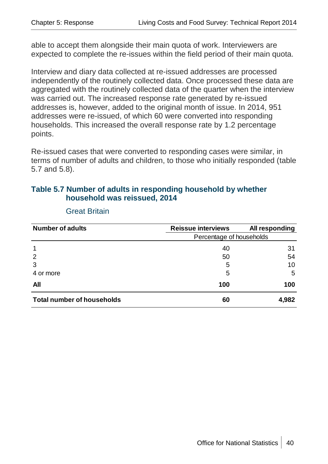able to accept them alongside their main quota of work. Interviewers are expected to complete the re-issues within the field period of their main quota.

Interview and diary data collected at re-issued addresses are processed independently of the routinely collected data. Once processed these data are aggregated with the routinely collected data of the quarter when the interview was carried out. The increased response rate generated by re-issued addresses is, however, added to the original month of issue. In 2014, 951 addresses were re-issued, of which 60 were converted into responding households. This increased the overall response rate by 1.2 percentage points.

Re-issued cases that were converted to responding cases were similar, in terms of number of adults and children, to those who initially responded (table 5.7 and 5.8).

## **Table 5.7 Number of adults in responding household by whether household was reissued, 2014**

| <b>Number of adults</b>           | <b>Reissue interviews</b> | All responding |
|-----------------------------------|---------------------------|----------------|
|                                   | Percentage of households  |                |
|                                   | 40                        | 31             |
| $\overline{2}$                    | 50                        | 54             |
| 3                                 | 5                         | 10             |
| 4 or more                         | 5                         | 5              |
| All                               | 100                       | 100            |
| <b>Total number of households</b> | 60                        | 4,982          |

#### Great Britain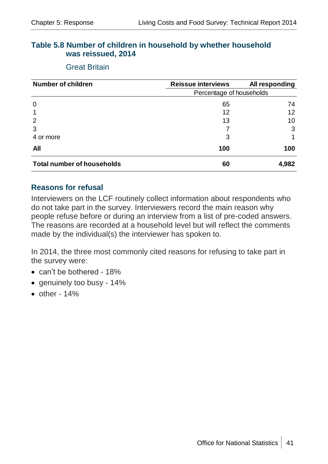#### **Table 5.8 Number of children in household by whether household was reissued, 2014**

Great Britain

| <b>Number of children</b>         | <b>Reissue interviews</b> | All responding |
|-----------------------------------|---------------------------|----------------|
|                                   | Percentage of households  |                |
| $\overline{0}$                    | 65                        | 74             |
|                                   | 12                        | 12             |
| $\overline{2}$                    | 13                        | 10             |
| 3                                 |                           | 3              |
| 4 or more                         | 3                         |                |
| All                               | 100                       | 100            |
| <b>Total number of households</b> | 60                        | 4,982          |

#### **Reasons for refusal**

Interviewers on the LCF routinely collect information about respondents who do not take part in the survey. Interviewers record the main reason why people refuse before or during an interview from a list of pre-coded answers. The reasons are recorded at a household level but will reflect the comments made by the individual(s) the interviewer has spoken to.

In 2014, the three most commonly cited reasons for refusing to take part in the survey were:

- can't be bothered 18%
- genuinely too busy 14%
- $\bullet$  other 14%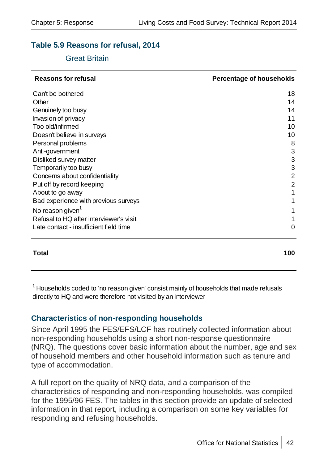## **Table 5.9 Reasons for refusal, 2014**

#### Great Britain

| <b>Reasons for refusal</b>              | <b>Percentage of households</b> |
|-----------------------------------------|---------------------------------|
| Can't be bothered                       | 18                              |
| Other                                   | 14                              |
| Genuinely too busy                      | 14                              |
| Invasion of privacy                     | 11                              |
| Too old/infirmed                        | 10                              |
| Doesn't believe in surveys              | 10                              |
| Personal problems                       | 8                               |
| Anti-government                         | 3                               |
| Disliked survey matter                  | 3                               |
| Temporarily too busy                    | 3                               |
| Concerns about confidentiality          | 2                               |
| Put off by record keeping               | 2                               |
| About to go away                        |                                 |
| Bad experience with previous surveys    |                                 |
| No reason given <sup>1</sup>            |                                 |
| Refusal to HQ after interviewer's visit |                                 |
| Late contact - insufficient field time  | O                               |

#### **Total 100**

 $1$  Households coded to 'no reason given' consist mainly of households that made refusals directly to HQ and were therefore not visited by an interviewer

#### **Characteristics of non-responding households**

Since April 1995 the FES/EFS/LCF has routinely collected information about non-responding households using a short non-response questionnaire (NRQ). The questions cover basic information about the number, age and sex of household members and other household information such as tenure and type of accommodation.

A full report on the quality of NRQ data, and a comparison of the characteristics of responding and non-responding households, was compiled for the 1995/96 FES. The tables in this section provide an update of selected information in that report, including a comparison on some key variables for responding and refusing households.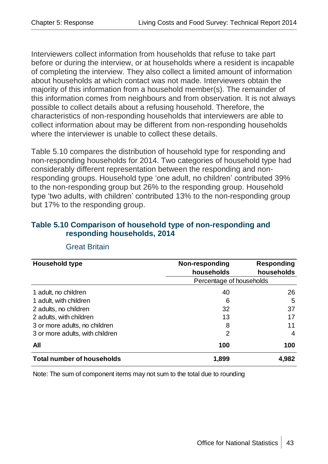Interviewers collect information from households that refuse to take part before or during the interview, or at households where a resident is incapable of completing the interview. They also collect a limited amount of information about households at which contact was not made. Interviewers obtain the majority of this information from a household member(s). The remainder of this information comes from neighbours and from observation. It is not always possible to collect details about a refusing household. Therefore, the characteristics of non-responding households that interviewers are able to collect information about may be different from non-responding households where the interviewer is unable to collect these details.

Table 5.10 compares the distribution of household type for responding and non-responding households for 2014. Two categories of household type had considerably different representation between the responding and nonresponding groups. Household type 'one adult, no children' contributed 39% to the non-responding group but 26% to the responding group. Household type 'two adults, with children' contributed 13% to the non-responding group but 17% to the responding group.

## **Table 5.10 Comparison of household type of non-responding and responding households, 2014**

| <b>Household type</b>             | Non-responding<br>households | <b>Responding</b><br>households |
|-----------------------------------|------------------------------|---------------------------------|
|                                   | Percentage of households     |                                 |
| 1 adult, no children              | 40                           | 26                              |
| 1 adult, with children            | 6                            | 5                               |
| 2 adults, no children             | 32                           | 37                              |
| 2 adults, with children           | 13                           | 17                              |
| 3 or more adults, no children     | 8                            | 11                              |
| 3 or more adults, with children   | 2                            | 4                               |
| All                               | 100                          | 100                             |
| <b>Total number of households</b> | 1,899                        | 4,982                           |

## Great Britain

Note: The sum of component items may not sum to the total due to rounding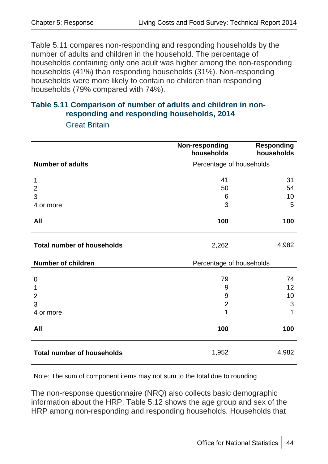Table 5.11 compares non-responding and responding households by the number of adults and children in the household. The percentage of households containing only one adult was higher among the non-responding households (41%) than responding households (31%). Non-responding households were more likely to contain no children than responding households (79% compared with 74%).

# **Table 5.11 Comparison of number of adults and children in nonresponding and responding households, 2014**

|                                   | Non-responding<br>households | <b>Responding</b><br>households |
|-----------------------------------|------------------------------|---------------------------------|
| <b>Number of adults</b>           | Percentage of households     |                                 |
| 1                                 | 41                           | 31                              |
| $\overline{2}$                    | 50                           | 54                              |
| 3                                 | 6                            | 10                              |
| 4 or more                         | 3                            | 5                               |
| <b>All</b>                        | 100                          | 100                             |
| <b>Total number of households</b> | 2,262                        | 4,982                           |
| <b>Number of children</b>         | Percentage of households     |                                 |
| 0                                 | 79                           | 74                              |
| 1                                 | 9                            | 12                              |
| 2                                 | $9$                          | 10                              |
| 3                                 | $\overline{2}$               | 3                               |
| 4 or more                         | 1                            | 1                               |
| All                               | 100                          | 100                             |
| <b>Total number of households</b> | 1,952                        | 4,982                           |

Great Britain

Note: The sum of component items may not sum to the total due to rounding

The non-response questionnaire (NRQ) also collects basic demographic information about the HRP. Table 5.12 shows the age group and sex of the HRP among non-responding and responding households. Households that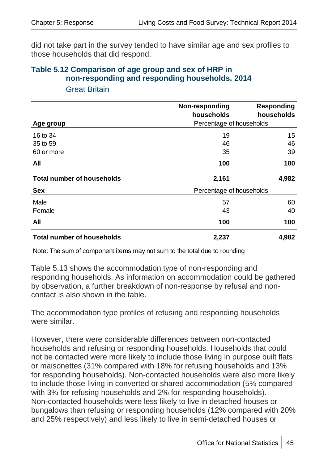did not take part in the survey tended to have similar age and sex profiles to those households that did respond.

## **Table 5.12 Comparison of age group and sex of HRP in non-responding and responding households, 2014**

|                                   | Non-responding<br>households | <b>Responding</b><br>households |
|-----------------------------------|------------------------------|---------------------------------|
| Age group                         | Percentage of households     |                                 |
| 16 to 34                          | 19                           | 15                              |
| 35 to 59                          | 46                           | 46                              |
| 60 or more                        | 35                           | 39                              |
| All                               | 100                          | 100                             |
| <b>Total number of households</b> | 2,161                        | 4,982                           |
| <b>Sex</b>                        | Percentage of households     |                                 |
| Male                              | 57                           | 60                              |
| Female                            | 43                           | 40                              |
| All                               | 100                          | 100                             |
| <b>Total number of households</b> | 2,237                        | 4,982                           |

Great Britain

Note: The sum of component items may not sum to the total due to rounding

Table 5.13 shows the accommodation type of non-responding and responding households. As information on accommodation could be gathered by observation, a further breakdown of non-response by refusal and noncontact is also shown in the table.

The accommodation type profiles of refusing and responding households were similar.

However, there were considerable differences between non-contacted households and refusing or responding households. Households that could not be contacted were more likely to include those living in purpose built flats or maisonettes (31% compared with 18% for refusing households and 13% for responding households). Non-contacted households were also more likely to include those living in converted or shared accommodation (5% compared with 3% for refusing households and 2% for responding households). Non-contacted households were less likely to live in detached houses or bungalows than refusing or responding households (12% compared with 20% and 25% respectively) and less likely to live in semi-detached houses or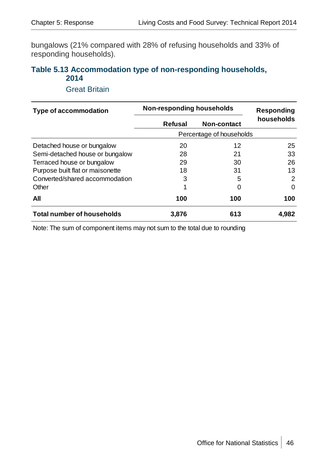bungalows (21% compared with 28% of refusing households and 33% of responding households).

## **Table 5.13 Accommodation type of non-responding households, 2014**

#### Great Britain

| <b>Type of accommodation</b>      | <b>Non-responding households</b> |                          | Responding |
|-----------------------------------|----------------------------------|--------------------------|------------|
|                                   | <b>Refusal</b>                   | <b>Non-contact</b>       | households |
|                                   |                                  | Percentage of households |            |
| Detached house or bungalow        | 20                               | 12                       | 25         |
| Semi-detached house or bungalow   | 28                               | 21                       | 33         |
| Terraced house or bungalow        | 29                               | 30                       | 26         |
| Purpose built flat or maisonette  | 18                               | 31                       | 13         |
| Converted/shared accommodation    | 3                                | 5                        | 2          |
| Other                             |                                  | 0                        | 0          |
| All                               | 100                              | 100                      | 100        |
| <b>Total number of households</b> | 3,876                            | 613                      | 4,982      |

Note: The sum of component items may not sum to the total due to rounding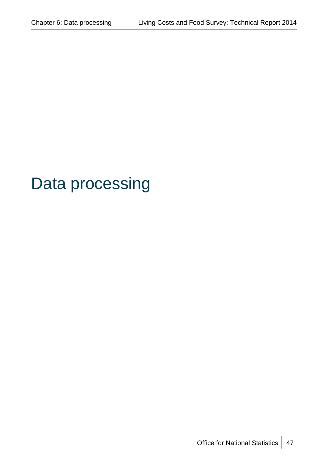# Data processing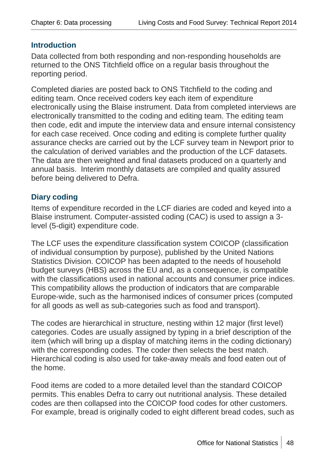## **Introduction**

Data collected from both responding and non-responding households are returned to the ONS Titchfield office on a regular basis throughout the reporting period.

Completed diaries are posted back to ONS Titchfield to the coding and editing team. Once received coders key each item of expenditure electronically using the Blaise instrument. Data from completed interviews are electronically transmitted to the coding and editing team. The editing team then code, edit and impute the interview data and ensure internal consistency for each case received. Once coding and editing is complete further quality assurance checks are carried out by the LCF survey team in Newport prior to the calculation of derived variables and the production of the LCF datasets. The data are then weighted and final datasets produced on a quarterly and annual basis. Interim monthly datasets are compiled and quality assured before being delivered to Defra.

## **Diary coding**

Items of expenditure recorded in the LCF diaries are coded and keyed into a Blaise instrument. Computer-assisted coding (CAC) is used to assign a 3 level (5-digit) expenditure code.

The LCF uses the expenditure classification system COICOP (classification of individual consumption by purpose), published by the United Nations Statistics Division. COICOP has been adapted to the needs of household budget surveys (HBS) across the EU and, as a consequence, is compatible with the classifications used in national accounts and consumer price indices. This compatibility allows the production of indicators that are comparable Europe-wide, such as the harmonised indices of consumer prices (computed for all goods as well as sub-categories such as food and transport).

The codes are hierarchical in structure, nesting within 12 major (first level) categories. Codes are usually assigned by typing in a brief description of the item (which will bring up a display of matching items in the coding dictionary) with the corresponding codes. The coder then selects the best match. Hierarchical coding is also used for take-away meals and food eaten out of the home.

Food items are coded to a more detailed level than the standard COICOP permits. This enables Defra to carry out nutritional analysis. These detailed codes are then collapsed into the COICOP food codes for other customers. For example, bread is originally coded to eight different bread codes, such as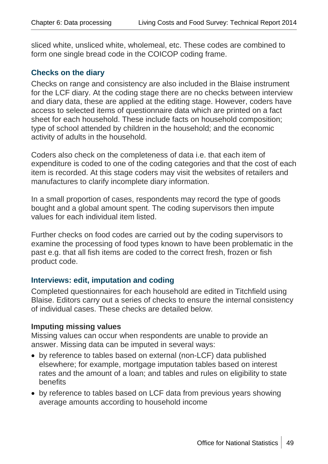sliced white, unsliced white, wholemeal, etc. These codes are combined to form one single bread code in the COICOP coding frame.

## **Checks on the diary**

Checks on range and consistency are also included in the Blaise instrument for the LCF diary. At the coding stage there are no checks between interview and diary data, these are applied at the editing stage. However, coders have access to selected items of questionnaire data which are printed on a fact sheet for each household. These include facts on household composition; type of school attended by children in the household; and the economic activity of adults in the household.

Coders also check on the completeness of data i.e. that each item of expenditure is coded to one of the coding categories and that the cost of each item is recorded. At this stage coders may visit the websites of retailers and manufactures to clarify incomplete diary information.

In a small proportion of cases, respondents may record the type of goods bought and a global amount spent. The coding supervisors then impute values for each individual item listed.

Further checks on food codes are carried out by the coding supervisors to examine the processing of food types known to have been problematic in the past e.g. that all fish items are coded to the correct fresh, frozen or fish product code.

## **Interviews: edit, imputation and coding**

Completed questionnaires for each household are edited in Titchfield using Blaise. Editors carry out a series of checks to ensure the internal consistency of individual cases. These checks are detailed below.

#### **Imputing missing values**

Missing values can occur when respondents are unable to provide an answer. Missing data can be imputed in several ways:

- by reference to tables based on external (non-LCF) data published elsewhere; for example, mortgage imputation tables based on interest rates and the amount of a loan; and tables and rules on eligibility to state benefits
- by reference to tables based on LCF data from previous years showing average amounts according to household income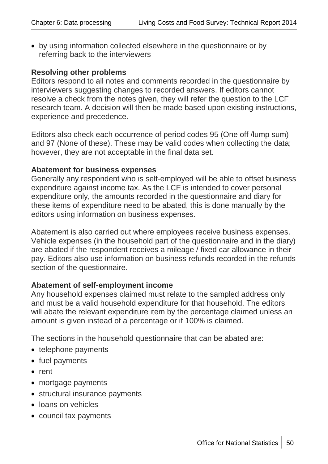by using information collected elsewhere in the questionnaire or by referring back to the interviewers

## **Resolving other problems**

Editors respond to all notes and comments recorded in the questionnaire by interviewers suggesting changes to recorded answers. If editors cannot resolve a check from the notes given, they will refer the question to the LCF research team. A decision will then be made based upon existing instructions, experience and precedence.

Editors also check each occurrence of period codes 95 (One off /lump sum) and 97 (None of these). These may be valid codes when collecting the data; however, they are not acceptable in the final data set.

#### **Abatement for business expenses**

Generally any respondent who is self-employed will be able to offset business expenditure against income tax. As the LCF is intended to cover personal expenditure only, the amounts recorded in the questionnaire and diary for these items of expenditure need to be abated, this is done manually by the editors using information on business expenses.

Abatement is also carried out where employees receive business expenses. Vehicle expenses (in the household part of the questionnaire and in the diary) are abated if the respondent receives a mileage / fixed car allowance in their pay. Editors also use information on business refunds recorded in the refunds section of the questionnaire.

## **Abatement of self-employment income**

Any household expenses claimed must relate to the sampled address only and must be a valid household expenditure for that household. The editors will abate the relevant expenditure item by the percentage claimed unless an amount is given instead of a percentage or if 100% is claimed.

The sections in the household questionnaire that can be abated are:

- telephone payments
- fuel payments
- $\bullet$  rent
- mortgage payments
- structural insurance payments
- loans on vehicles
- council tax payments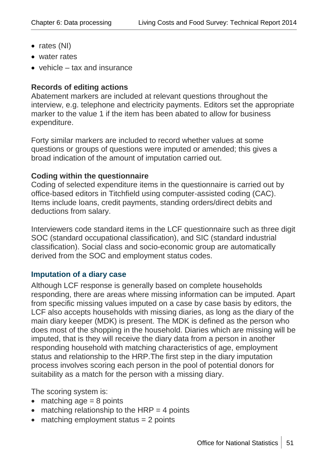- rates (NI)
- water rates
- vehicle tax and insurance

## **Records of editing actions**

Abatement markers are included at relevant questions throughout the interview, e.g. telephone and electricity payments. Editors set the appropriate marker to the value 1 if the item has been abated to allow for business expenditure.

Forty similar markers are included to record whether values at some questions or groups of questions were imputed or amended; this gives a broad indication of the amount of imputation carried out.

#### **Coding within the questionnaire**

Coding of selected expenditure items in the questionnaire is carried out by office-based editors in Titchfield using computer-assisted coding (CAC). Items include loans, credit payments, standing orders/direct debits and deductions from salary.

Interviewers code standard items in the LCF questionnaire such as three digit SOC (standard occupational classification), and SIC (standard industrial classification). Social class and socio-economic group are automatically derived from the SOC and employment status codes.

## **Imputation of a diary case**

Although LCF response is generally based on complete households responding, there are areas where missing information can be imputed. Apart from specific missing values imputed on a case by case basis by editors, the LCF also accepts households with missing diaries, as long as the diary of the main diary keeper (MDK) is present. The MDK is defined as the person who does most of the shopping in the household. Diaries which are missing will be imputed, that is they will receive the diary data from a person in another responding household with matching characteristics of age, employment status and relationship to the HRP.The first step in the diary imputation process involves scoring each person in the pool of potential donors for suitability as a match for the person with a missing diary.

The scoring system is:

- $\bullet$  matching age = 8 points
- matching relationship to the  $HRP = 4$  points
- $\bullet$  matching employment status = 2 points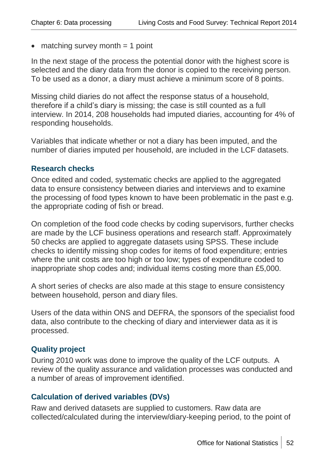$\bullet$  matching survey month  $=$  1 point

In the next stage of the process the potential donor with the highest score is selected and the diary data from the donor is copied to the receiving person. To be used as a donor, a diary must achieve a minimum score of 8 points.

Missing child diaries do not affect the response status of a household, therefore if a child's diary is missing; the case is still counted as a full interview. In 2014, 208 households had imputed diaries, accounting for 4% of responding households.

Variables that indicate whether or not a diary has been imputed, and the number of diaries imputed per household, are included in the LCF datasets.

## **Research checks**

Once edited and coded, systematic checks are applied to the aggregated data to ensure consistency between diaries and interviews and to examine the processing of food types known to have been problematic in the past e.g. the appropriate coding of fish or bread.

On completion of the food code checks by coding supervisors, further checks are made by the LCF business operations and research staff. Approximately 50 checks are applied to aggregate datasets using SPSS. These include checks to identify missing shop codes for items of food expenditure; entries where the unit costs are too high or too low; types of expenditure coded to inappropriate shop codes and; individual items costing more than £5,000.

A short series of checks are also made at this stage to ensure consistency between household, person and diary files.

Users of the data within ONS and DEFRA, the sponsors of the specialist food data, also contribute to the checking of diary and interviewer data as it is processed.

## **Quality project**

During 2010 work was done to improve the quality of the LCF outputs. A review of the quality assurance and validation processes was conducted and a number of areas of improvement identified.

## **Calculation of derived variables (DVs)**

Raw and derived datasets are supplied to customers. Raw data are collected/calculated during the interview/diary-keeping period, to the point of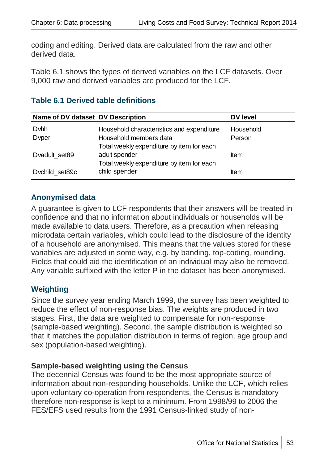coding and editing. Derived data are calculated from the raw and other derived data.

Table 6.1 shows the types of derived variables on the LCF datasets. Over 9,000 raw and derived variables are produced for the LCF.

| <b>Name of DV dataset DV Description</b> |                                           | <b>DV level</b> |
|------------------------------------------|-------------------------------------------|-----------------|
| Dvhh                                     | Household characteristics and expenditure | Household       |
| <b>D</b> <sub>vper</sub>                 | Household members data                    | Person          |
|                                          | Total weekly expenditure by item for each |                 |
| Dvadult_set89                            | adult spender                             | Item            |
|                                          | Total weekly expenditure by item for each |                 |
| Dychild set89c                           | child spender                             | Item            |

## **Table 6.1 Derived table definitions**

## **Anonymised data**

A guarantee is given to LCF respondents that their answers will be treated in confidence and that no information about individuals or households will be made available to data users. Therefore, as a precaution when releasing microdata certain variables, which could lead to the disclosure of the identity of a household are anonymised. This means that the values stored for these variables are adjusted in some way, e.g. by banding, top-coding, rounding. Fields that could aid the identification of an individual may also be removed. Any variable suffixed with the letter P in the dataset has been anonymised.

## **Weighting**

Since the survey year ending March 1999, the survey has been weighted to reduce the effect of non-response bias. The weights are produced in two stages. First, the data are weighted to compensate for non-response (sample-based weighting). Second, the sample distribution is weighted so that it matches the population distribution in terms of region, age group and sex (population-based weighting).

## **Sample-based weighting using the Census**

The decennial Census was found to be the most appropriate source of information about non-responding households. Unlike the LCF, which relies upon voluntary co-operation from respondents, the Census is mandatory therefore non-response is kept to a minimum. From 1998/99 to 2006 the FES/EFS used results from the 1991 Census-linked study of non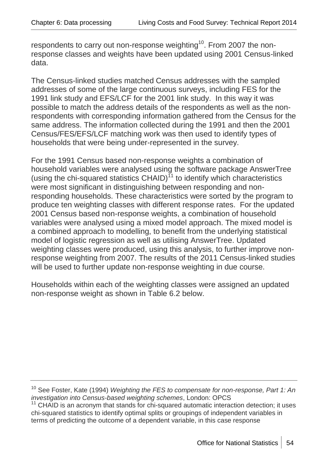respondents to carry out non-response weighting<sup>10</sup>. From 2007 the nonresponse classes and weights have been updated using 2001 Census-linked data.

The Census-linked studies matched Census addresses with the sampled addresses of some of the large continuous surveys, including FES for the 1991 link study and EFS/LCF for the 2001 link study. In this way it was possible to match the address details of the respondents as well as the nonrespondents with corresponding information gathered from the Census for the same address. The information collected during the 1991 and then the 2001 Census/FES/EFS/LCF matching work was then used to identify types of households that were being under-represented in the survey.

For the 1991 Census based non-response weights a combination of household variables were analysed using the software package AnswerTree (using the chi-squared statistics  $CHAID$ <sup>11</sup> to identify which characteristics were most significant in distinguishing between responding and nonresponding households. These characteristics were sorted by the program to produce ten weighting classes with different response rates. For the updated 2001 Census based non-response weights, a combination of household variables were analysed using a mixed model approach. The mixed model is a combined approach to modelling, to benefit from the underlying statistical model of logistic regression as well as utilising AnswerTree. Updated weighting classes were produced, using this analysis, to further improve nonresponse weighting from 2007. The results of the 2011 Census-linked studies will be used to further update non-response weighting in due course.

Households within each of the weighting classes were assigned an updated non-response weight as shown in Table 6.2 below.

<sup>10</sup> See Foster, Kate (1994) *Weighting the FES to compensate for non-response, Part 1: An investigation into Census-based weighting schemes*, London: OPCS

 $11$  CHAID is an acronym that stands for chi-squared automatic interaction detection; it uses chi-squared statistics to identify optimal splits or groupings of independent variables in terms of predicting the outcome of a dependent variable, in this case response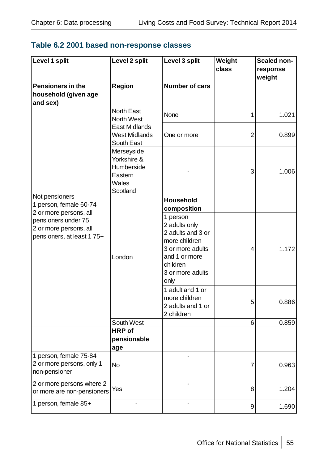# **Table 6.2 2001 based non-response classes**

| Level 1 split                                                                                                                                    | Level 2 split                                                                                 | Level 3 split                                                                                                                                | Weight<br>class | Scaled non-<br>response<br>weight |
|--------------------------------------------------------------------------------------------------------------------------------------------------|-----------------------------------------------------------------------------------------------|----------------------------------------------------------------------------------------------------------------------------------------------|-----------------|-----------------------------------|
| <b>Pensioners in the</b>                                                                                                                         | <b>Region</b>                                                                                 | <b>Number of cars</b>                                                                                                                        |                 |                                   |
| household (given age                                                                                                                             |                                                                                               |                                                                                                                                              |                 |                                   |
| and sex)                                                                                                                                         |                                                                                               |                                                                                                                                              |                 |                                   |
|                                                                                                                                                  | <b>North East</b><br><b>North West</b><br>East Midlands<br><b>West Midlands</b><br>South East | None                                                                                                                                         | 1               | 1.021                             |
|                                                                                                                                                  |                                                                                               | One or more                                                                                                                                  | $\overline{2}$  | 0.899                             |
|                                                                                                                                                  | Merseyside<br>Yorkshire &<br>Humberside<br>Eastern<br><b>Wales</b><br>Scotland                |                                                                                                                                              | 3               | 1.006                             |
| Not pensioners<br>1 person, female 60-74<br>2 or more persons, all<br>pensioners under 75<br>2 or more persons, all<br>pensioners, at least 175+ | London                                                                                        | <b>Household</b>                                                                                                                             |                 |                                   |
|                                                                                                                                                  |                                                                                               | composition                                                                                                                                  |                 |                                   |
|                                                                                                                                                  |                                                                                               | 1 person<br>2 adults only<br>2 adults and 3 or<br>more children<br>3 or more adults<br>and 1 or more<br>children<br>3 or more adults<br>only | 4               | 1.172                             |
|                                                                                                                                                  |                                                                                               | 1 adult and 1 or<br>more children<br>2 adults and 1 or<br>2 children                                                                         | 5               | 0.886                             |
|                                                                                                                                                  | South West                                                                                    |                                                                                                                                              | 6               | 0.859                             |
|                                                                                                                                                  | <b>HRP of</b><br>pensionable<br>age                                                           |                                                                                                                                              |                 |                                   |
| 1 person, female 75-84<br>2 or more persons, only 1<br>non-pensioner                                                                             | <b>No</b>                                                                                     |                                                                                                                                              | 7               | 0.963                             |
| 2 or more persons where 2<br>or more are non-pensioners                                                                                          | Yes                                                                                           |                                                                                                                                              | 8               | 1.204                             |
| 1 person, female 85+                                                                                                                             |                                                                                               |                                                                                                                                              | 9               | 1.690                             |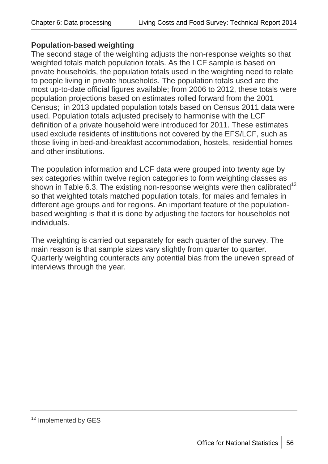## **Population-based weighting**

The second stage of the weighting adjusts the non-response weights so that weighted totals match population totals. As the LCF sample is based on private households, the population totals used in the weighting need to relate to people living in private households. The population totals used are the most up-to-date official figures available; from 2006 to 2012, these totals were population projections based on estimates rolled forward from the 2001 Census; in 2013 updated population totals based on Census 2011 data were used. Population totals adjusted precisely to harmonise with the LCF definition of a private household were introduced for 2011. These estimates used exclude residents of institutions not covered by the EFS/LCF, such as those living in bed-and-breakfast accommodation, hostels, residential homes and other institutions.

The population information and LCF data were grouped into twenty age by sex categories within twelve region categories to form weighting classes as shown in Table 6.3. The existing non-response weights were then calibrated<sup>12</sup> so that weighted totals matched population totals, for males and females in different age groups and for regions. An important feature of the populationbased weighting is that it is done by adjusting the factors for households not individuals.

The weighting is carried out separately for each quarter of the survey. The main reason is that sample sizes vary slightly from quarter to quarter. Quarterly weighting counteracts any potential bias from the uneven spread of interviews through the year.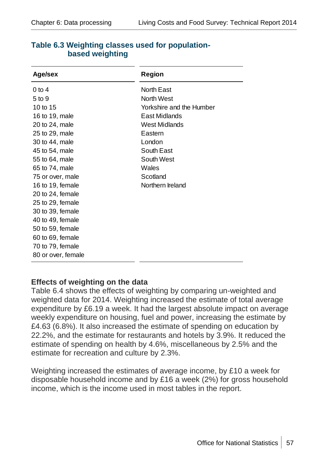| <b>Age/sex</b>                                                                                                                                                                                                                             | <b>Region</b>                                                                                                                                         |
|--------------------------------------------------------------------------------------------------------------------------------------------------------------------------------------------------------------------------------------------|-------------------------------------------------------------------------------------------------------------------------------------------------------|
| $0$ to 4<br>5 to 9<br>10 to 15<br>16 to 19, male<br>20 to 24, male<br>25 to 29, male<br>30 to 44, male<br>45 to 54, male                                                                                                                   | <b>North East</b><br><b>North West</b><br>Yorkshire and the Humber<br><b>East Midlands</b><br><b>West Midlands</b><br>Eastern<br>London<br>South East |
| 55 to 64, male<br>65 to 74, male<br>75 or over, male<br>16 to 19, female<br>20 to 24, female<br>25 to 29, female<br>30 to 39, female<br>40 to 49, female<br>50 to 59, female<br>60 to 69, female<br>70 to 79, female<br>80 or over, female | South West<br>Wales<br>Scotland<br>Northern Ireland                                                                                                   |

## **Table 6.3 Weighting classes used for population based weighting**

## **Effects of weighting on the data**

Table 6.4 shows the effects of weighting by comparing un-weighted and weighted data for 2014. Weighting increased the estimate of total average expenditure by £6.19 a week. It had the largest absolute impact on average weekly expenditure on housing, fuel and power, increasing the estimate by £4.63 (6.8%). It also increased the estimate of spending on education by 22.2%, and the estimate for restaurants and hotels by 3.9%. It reduced the estimate of spending on health by 4.6%, miscellaneous by 2.5% and the estimate for recreation and culture by 2.3%.

Weighting increased the estimates of average income, by £10 a week for disposable household income and by £16 a week (2%) for gross household income, which is the income used in most tables in the report.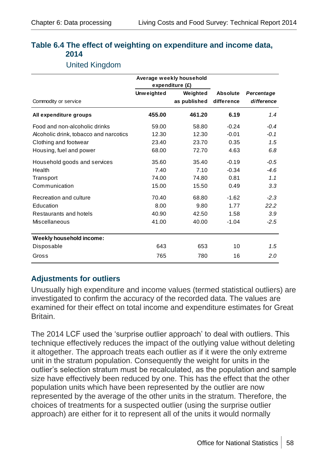# **Table 6.4 The effect of weighting on expenditure and income data, 2014**

United Kingdom

|                                        | Average weekly household<br>expenditure (£) |              |                 |            |
|----------------------------------------|---------------------------------------------|--------------|-----------------|------------|
|                                        | <b>Unweighted</b>                           | Weighted     | <b>Absolute</b> | Percentage |
| Commodity or service                   |                                             | as published | difference      | difference |
| All expenditure groups                 | 455.00                                      | 461.20       | 6.19            | 1.4        |
| Food and non-alcoholic drinks          | 59.00                                       | 58.80        | $-0.24$         | $-0.4$     |
| Alcoholic drink, tobacco and narcotics | 12.30                                       | 12.30        | $-0.01$         | $-0.1$     |
| Clothing and footwear                  | 23.40                                       | 23.70        | 0.35            | 1.5        |
| Housing, fuel and power                | 68.00                                       | 72.70        | 4.63            | 6.8        |
| Household goods and services           | 35.60                                       | 35.40        | $-0.19$         | $-0.5$     |
| Health                                 | 7.40                                        | 7.10         | $-0.34$         | $-4.6$     |
| Transport                              | 74.00                                       | 74.80        | 0.81            | 1.1        |
| Communication                          | 15.00                                       | 15.50        | 0.49            | 3.3        |
| Recreation and culture                 | 70.40                                       | 68.80        | $-1.62$         | $-2.3$     |
| Education                              | 8.00                                        | 9.80         | 1.77            | 22.2       |
| Restaurants and hotels                 | 40.90                                       | 42.50        | 1.58            | 3.9        |
| Miscellaneous                          | 41.00                                       | 40.00        | $-1.04$         | $-2.5$     |
| <b>Weekly household income:</b>        |                                             |              |                 |            |
| Disposable                             | 643                                         | 653          | 10              | 1.5        |
| Gross                                  | 765                                         | 780          | 16              | 2.0        |

## **Adjustments for outliers**

Unusually high expenditure and income values (termed statistical outliers) are investigated to confirm the accuracy of the recorded data. The values are examined for their effect on total income and expenditure estimates for Great Britain.

The 2014 LCF used the 'surprise outlier approach' to deal with outliers. This technique effectively reduces the impact of the outlying value without deleting it altogether. The approach treats each outlier as if it were the only extreme unit in the stratum population. Consequently the weight for units in the outlier's selection stratum must be recalculated, as the population and sample size have effectively been reduced by one. This has the effect that the other population units which have been represented by the outlier are now represented by the average of the other units in the stratum. Therefore, the choices of treatments for a suspected outlier (using the surprise outlier approach) are either for it to represent all of the units it would normally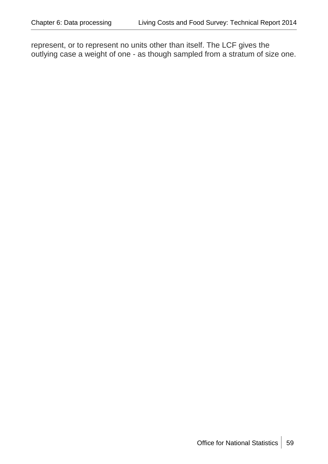represent, or to represent no units other than itself. The LCF gives the outlying case a weight of one - as though sampled from a stratum of size one.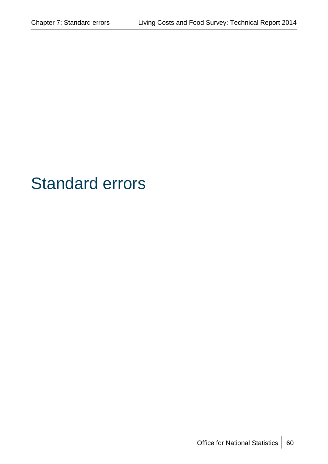# Standard errors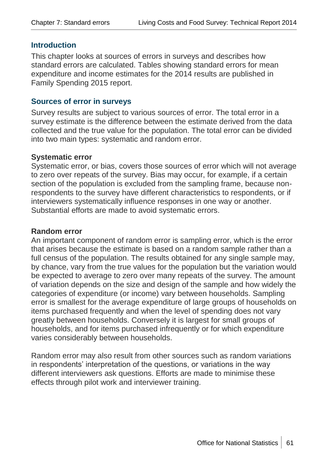#### **Introduction**

This chapter looks at sources of errors in surveys and describes how standard errors are calculated. Tables showing standard errors for mean expenditure and income estimates for the 2014 results are published in Family Spending 2015 report.

#### **Sources of error in surveys**

Survey results are subject to various sources of error. The total error in a survey estimate is the difference between the estimate derived from the data collected and the true value for the population. The total error can be divided into two main types: systematic and random error.

#### **Systematic error**

Systematic error, or bias, covers those sources of error which will not average to zero over repeats of the survey. Bias may occur, for example, if a certain section of the population is excluded from the sampling frame, because nonrespondents to the survey have different characteristics to respondents, or if interviewers systematically influence responses in one way or another. Substantial efforts are made to avoid systematic errors.

#### **Random error**

An important component of random error is sampling error, which is the error that arises because the estimate is based on a random sample rather than a full census of the population. The results obtained for any single sample may, by chance, vary from the true values for the population but the variation would be expected to average to zero over many repeats of the survey. The amount of variation depends on the size and design of the sample and how widely the categories of expenditure (or income) vary between households. Sampling error is smallest for the average expenditure of large groups of households on items purchased frequently and when the level of spending does not vary greatly between households. Conversely it is largest for small groups of households, and for items purchased infrequently or for which expenditure varies considerably between households.

Random error may also result from other sources such as random variations in respondents' interpretation of the questions, or variations in the way different interviewers ask questions. Efforts are made to minimise these effects through pilot work and interviewer training.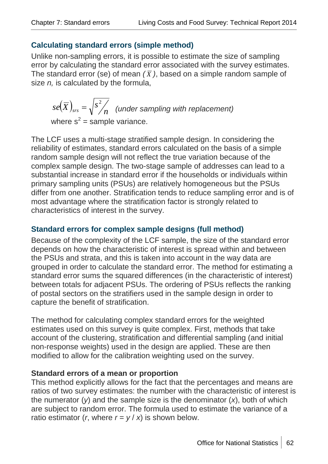## **Calculating standard errors (simple method)**

Unlike non-sampling errors, it is possible to estimate the size of sampling error by calculating the standard error associated with the survey estimates. The standard error (se) of mean  $(\bar{x})$ , based on a simple random sample of size *n,* is calculated by the formula,

$$
se(\overline{X})_{srs} = \sqrt{s^2/n}
$$
 (under sampling with replacement)  
where  $s^2$  = sample variance.

The LCF uses a multi-stage stratified sample design. In considering the reliability of estimates, standard errors calculated on the basis of a simple random sample design will not reflect the true variation because of the complex sample design. The two-stage sample of addresses can lead to a substantial increase in standard error if the households or individuals within primary sampling units (PSUs) are relatively homogeneous but the PSUs differ from one another. Stratification tends to reduce sampling error and is of most advantage where the stratification factor is strongly related to characteristics of interest in the survey.

# **Standard errors for complex sample designs (full method)**

Because of the complexity of the LCF sample, the size of the standard error depends on how the characteristic of interest is spread within and between the PSUs and strata, and this is taken into account in the way data are grouped in order to calculate the standard error. The method for estimating a standard error sums the squared differences (in the characteristic of interest) between totals for adjacent PSUs. The ordering of PSUs reflects the ranking of postal sectors on the stratifiers used in the sample design in order to capture the benefit of stratification.

The method for calculating complex standard errors for the weighted estimates used on this survey is quite complex. First, methods that take account of the clustering, stratification and differential sampling (and initial non-response weights) used in the design are applied. These are then modified to allow for the calibration weighting used on the survey.

## **Standard errors of a mean or proportion**

This method explicitly allows for the fact that the percentages and means are ratios of two survey estimates: the number with the characteristic of interest is the numerator  $(y)$  and the sample size is the denominator  $(x)$ , both of which are subject to random error. The formula used to estimate the variance of a ratio estimator (*r*, where  $r = y / x$ ) is shown below.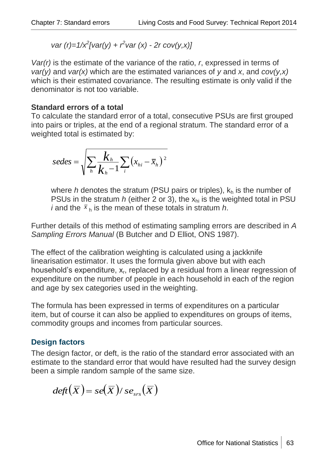*var (r)=1/x<sup>2</sup> [var(y) + r<sup>2</sup> var (x) - 2r cov(y,x)]*

*Var(r)* is the estimate of the variance of the ratio, *r*, expressed in terms of *var(y)* and *var(x)* which are the estimated variances of *y* and *x*, and *cov(y,x)* which is their estimated covariance. The resulting estimate is only valid if the denominator is not too variable.

## **Standard errors of a total**

To calculate the standard error of a total, consecutive PSUs are first grouped into pairs or triples, at the end of a regional stratum. The standard error of a weighted total is estimated by:

$$
sedes = \sqrt{\sum_{h} \frac{k_h}{k_h - 1} \sum_{i} (x_{hi} - \overline{x}_h)^2}
$$

where *h* denotes the stratum (PSU pairs or triples),  $k_h$  is the number of PSUs in the stratum  $h$  (either 2 or 3), the  $x_{hi}$  is the weighted total in PSU *i* and the  $\bar{x}_h$  is the mean of these totals in stratum *h*.

Further details of this method of estimating sampling errors are described in *A Sampling Errors Manual* (B Butcher and D Elliot, ONS 1987).

The effect of the calibration weighting is calculated using a jackknife linearisation estimator. It uses the formula given above but with each household's expenditure, x<sub>r</sub>, replaced by a residual from a linear regression of expenditure on the number of people in each household in each of the region and age by sex categories used in the weighting.

The formula has been expressed in terms of expenditures on a particular item, but of course it can also be applied to expenditures on groups of items, commodity groups and incomes from particular sources.

## **Design factors**

The design factor, or deft, is the ratio of the standard error associated with an estimate to the standard error that would have resulted had the survey design been a simple random sample of the same size.

$$
def(\overline{X})=se(\overline{X})/se_{\scriptscriptstyle srs}(\overline{X})
$$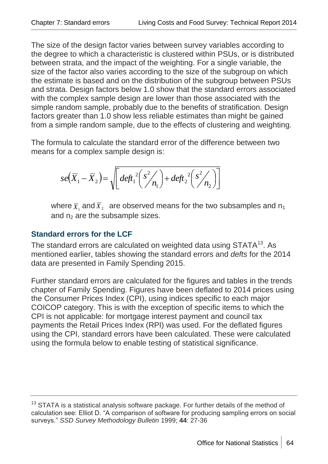The size of the design factor varies between survey variables according to the degree to which a characteristic is clustered within PSUs, or is distributed between strata, and the impact of the weighting. For a single variable, the size of the factor also varies according to the size of the subgroup on which the estimate is based and on the distribution of the subgroup between PSUs and strata. Design factors below 1.0 show that the standard errors associated with the complex sample design are lower than those associated with the simple random sample, probably due to the benefits of stratification. Design factors greater than 1.0 show less reliable estimates than might be gained from a simple random sample, due to the effects of clustering and weighting.

The formula to calculate the standard error of the difference between two

means for a complex sample design is:  
\n
$$
se(\overline{X}_1 - \overline{X}_2) = \sqrt{\left[ \frac{deft_1^2}{s^2 \choose n_1} + \frac{deft_2^2}{s^2 \choose n_2} \right]}
$$

where  $\bar{X}_1$  and  $\bar{X}_2$  are observed means for the two subsamples and  $\mathsf{n}_1$ and  $n_2$  are the subsample sizes.

## **Standard errors for the LCF**

The standard errors are calculated on weighted data using STATA<sup>13</sup>. As mentioned earlier, tables showing the standard errors and *defts* for the 2014 data are presented in Family Spending 2015.

Further standard errors are calculated for the figures and tables in the trends chapter of Family Spending. Figures have been deflated to 2014 prices using the Consumer Prices Index (CPI), using indices specific to each major COICOP category. This is with the exception of specific items to which the CPI is not applicable: for mortgage interest payment and council tax payments the Retail Prices Index (RPI) was used. For the deflated figures using the CPI, standard errors have been calculated. These were calculated using the formula below to enable testing of statistical significance.

 $13$  STATA is a statistical analysis software package. For further details of the method of calculation see: Elliot D. "A comparison of software for producing sampling errors on social surveys." *SSD Survey Methodology Bulletin* 1999; **44**: 27-36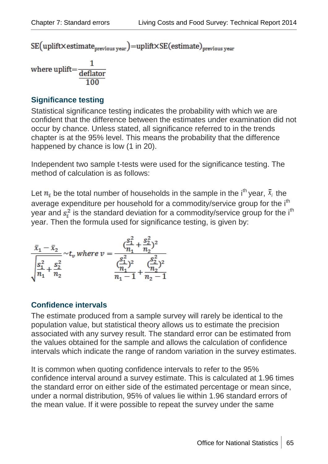$SE($ uplift $\times$ estimate<sub>previous year</sub> $)=$ uplift $\times SE($ estimate)<sub>previous year</sub>

where uplift= $\frac{1}{\text{deflator}}$ 

## **Significance testing**

Statistical significance testing indicates the probability with which we are confident that the difference between the estimates under examination did not occur by chance. Unless stated, all significance referred to in the trends chapter is at the 95% level. This means the probability that the difference happened by chance is low  $(1 \text{ in } 20)$ .

Independent two sample t-tests were used for the significance testing. The method of calculation is as follows:

Let  $n_i$  be the total number of households in the sample in the i<sup>th</sup> year,  $\bar{x}_i$  the average expenditure per household for a commodity/service group for the i<sup>th</sup> year and  $s_i^2$  is the standard deviation for a commodity/service group for the i<sup>th</sup> year. Then the formula used for significance testing, is given by:

$$
\frac{\bar{x}_1 - \bar{x}_2}{\sqrt{\frac{s_1^2}{n_1} + \frac{s_2^2}{n_2}}} \sim t_v \text{ where } v = \frac{(\frac{s_1^2}{n_1} + \frac{s_2^2}{n_2})^2}{(\frac{s_1^2}{n_1})^2} \times \frac{(\frac{s_2^2}{n_2})^2}{n_1 - 1} + \frac{(\frac{s_2^2}{n_2})^2}{n_2 - 1}
$$

# **Confidence intervals**

The estimate produced from a sample survey will rarely be identical to the population value, but statistical theory allows us to estimate the precision associated with any survey result. The standard error can be estimated from the values obtained for the sample and allows the calculation of confidence intervals which indicate the range of random variation in the survey estimates.

It is common when quoting confidence intervals to refer to the 95% confidence interval around a survey estimate. This is calculated at 1.96 times the standard error on either side of the estimated percentage or mean since, under a normal distribution, 95% of values lie within 1.96 standard errors of the mean value. If it were possible to repeat the survey under the same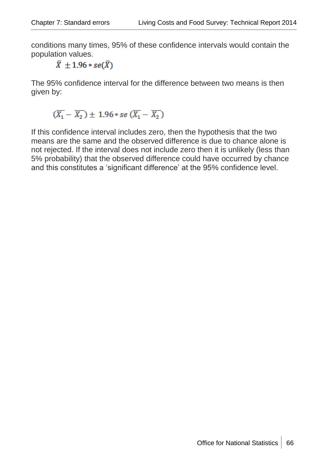conditions many times, 95% of these confidence intervals would contain the population values.

 $\overline{X}$  ± 1.96 \* se( $\overline{X}$ )

The 95% confidence interval for the difference between two means is then given by:

 $(\overline{X_1} - \overline{X_2}) \pm 1.96$ \* se  $(\overline{X_1} - \overline{X_2})$ 

If this confidence interval includes zero, then the hypothesis that the two means are the same and the observed difference is due to chance alone is not rejected. If the interval does not include zero then it is unlikely (less than 5% probability) that the observed difference could have occurred by chance and this constitutes a 'significant difference' at the 95% confidence level.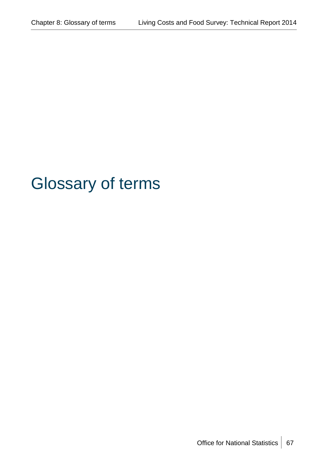# Glossary of terms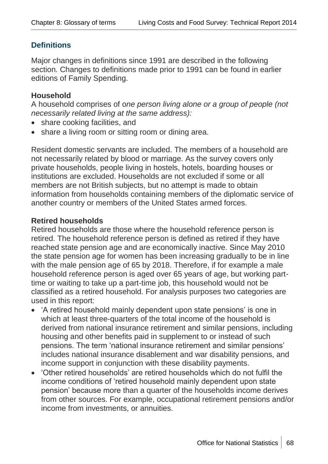## **Definitions**

Major changes in definitions since 1991 are described in the following section. Changes to definitions made prior to 1991 can be found in earlier editions of Family Spending.

## **Household**

A household comprises of o*ne person living alone or a group of people (not necessarily related living at the same address):*

- share cooking facilities, and
- share a living room or sitting room or dining area.

Resident domestic servants are included. The members of a household are not necessarily related by blood or marriage. As the survey covers only private households, people living in hostels, hotels, boarding houses or institutions are excluded. Households are not excluded if some or all members are not British subjects, but no attempt is made to obtain information from households containing members of the diplomatic service of another country or members of the United States armed forces.

#### **Retired households**

Retired households are those where the household reference person is retired. The household reference person is defined as retired if they have reached state pension age and are economically inactive. Since May 2010 the state pension age for women has been increasing gradually to be in line with the male pension age of 65 by 2018. Therefore, if for example a male household reference person is aged over 65 years of age, but working parttime or waiting to take up a part-time job, this household would not be classified as a retired household. For analysis purposes two categories are used in this report:

- 'A retired household mainly dependent upon state pensions' is one in which at least three-quarters of the total income of the household is derived from national insurance retirement and similar pensions, including housing and other benefits paid in supplement to or instead of such pensions. The term 'national insurance retirement and similar pensions' includes national insurance disablement and war disability pensions, and income support in conjunction with these disability payments.
- 'Other retired households' are retired households which do not fulfil the income conditions of 'retired household mainly dependent upon state pension' because more than a quarter of the households income derives from other sources. For example, occupational retirement pensions and/or income from investments, or annuities.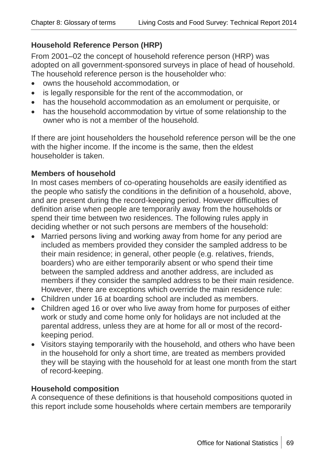# **Household Reference Person (HRP)**

From 2001–02 the concept of household reference person (HRP) was adopted on all government-sponsored surveys in place of head of household. The household reference person is the householder who:

- owns the household accommodation, or
- is legally responsible for the rent of the accommodation, or
- has the household accommodation as an emolument or perquisite, or
- has the household accommodation by virtue of some relationship to the owner who is not a member of the household.

If there are joint householders the household reference person will be the one with the higher income. If the income is the same, then the eldest householder is taken.

#### **Members of household**

In most cases members of co-operating households are easily identified as the people who satisfy the conditions in the definition of a household, above, and are present during the record-keeping period. However difficulties of definition arise when people are temporarily away from the households or spend their time between two residences. The following rules apply in deciding whether or not such persons are members of the household:

- Married persons living and working away from home for any period are included as members provided they consider the sampled address to be their main residence; in general, other people (e.g. relatives, friends, boarders) who are either temporarily absent or who spend their time between the sampled address and another address, are included as members if they consider the sampled address to be their main residence. However, there are exceptions which override the main residence rule:
- Children under 16 at boarding school are included as members.
- Children aged 16 or over who live away from home for purposes of either work or study and come home only for holidays are not included at the parental address, unless they are at home for all or most of the recordkeeping period.
- Visitors staying temporarily with the household, and others who have been in the household for only a short time, are treated as members provided they will be staying with the household for at least one month from the start of record-keeping.

#### **Household composition**

A consequence of these definitions is that household compositions quoted in this report include some households where certain members are temporarily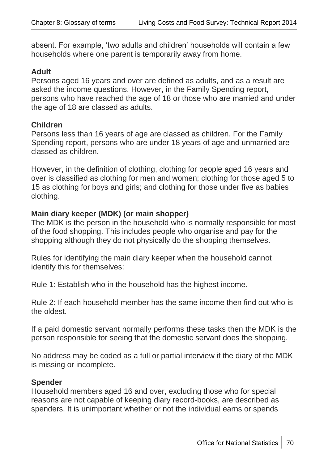absent. For example, 'two adults and children' households will contain a few households where one parent is temporarily away from home.

#### **Adult**

Persons aged 16 years and over are defined as adults, and as a result are asked the income questions. However, in the Family Spending report, persons who have reached the age of 18 or those who are married and under the age of 18 are classed as adults.

#### **Children**

Persons less than 16 years of age are classed as children. For the Family Spending report, persons who are under 18 years of age and unmarried are classed as children.

However, in the definition of clothing, clothing for people aged 16 years and over is classified as clothing for men and women; clothing for those aged 5 to 15 as clothing for boys and girls; and clothing for those under five as babies clothing.

#### **Main diary keeper (MDK) (or main shopper)**

The MDK is the person in the household who is normally responsible for most of the food shopping. This includes people who organise and pay for the shopping although they do not physically do the shopping themselves.

Rules for identifying the main diary keeper when the household cannot identify this for themselves:

Rule 1: Establish who in the household has the highest income.

Rule 2: If each household member has the same income then find out who is the oldest.

If a paid domestic servant normally performs these tasks then the MDK is the person responsible for seeing that the domestic servant does the shopping.

No address may be coded as a full or partial interview if the diary of the MDK is missing or incomplete.

#### **Spender**

Household members aged 16 and over, excluding those who for special reasons are not capable of keeping diary record-books, are described as spenders. It is unimportant whether or not the individual earns or spends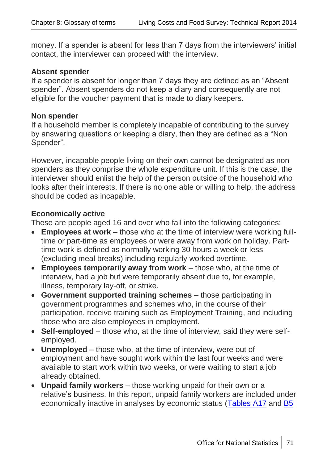money. If a spender is absent for less than 7 days from the interviewers' initial contact, the interviewer can proceed with the interview.

#### **Absent spender**

If a spender is absent for longer than 7 days they are defined as an "Absent spender". Absent spenders do not keep a diary and consequently are not eligible for the voucher payment that is made to diary keepers.

#### **Non spender**

If a household member is completely incapable of contributing to the survey by answering questions or keeping a diary, then they are defined as a "Non Spender".

However, incapable people living on their own cannot be designated as non spenders as they comprise the whole expenditure unit. If this is the case, the interviewer should enlist the help of the person outside of the household who looks after their interests. If there is no one able or willing to help, the address should be coded as incapable.

#### **Economically active**

These are people aged 16 and over who fall into the following categories:

- **Employees at work** those who at the time of interview were working fulltime or part-time as employees or were away from work on holiday. Parttime work is defined as normally working 30 hours a week or less (excluding meal breaks) including regularly worked overtime.
- **Employees temporarily away from work** *–* those who, at the time of interview, had a job but were temporarily absent due to, for example, illness, temporary lay-off, or strike.
- **Government supported training schemes** those participating in government programmes and schemes who, in the course of their participation, receive training such as Employment Training, and including those who are also employees in employment.
- **Self-employed** those who, at the time of interview, said they were selfemployed.
- **Unemployed** those who, at the time of interview, were out of employment and have sought work within the last four weeks and were available to start work within two weeks, or were waiting to start a job already obtained.
- **Unpaid family workers** those working unpaid for their own or a relative's business. In this report, unpaid family workers are included under economically inactive in analyses by economic status [\(Tables A17](http://www.ons.gov.uk/ons/rel/family-spending/family-spending/2014-edition/rft-a17-final---2013.xls) and [B5](http://www.ons.gov.uk/ons/rel/family-spending/family-spending/2014-edition/rft---table-b5-final---2013.xls)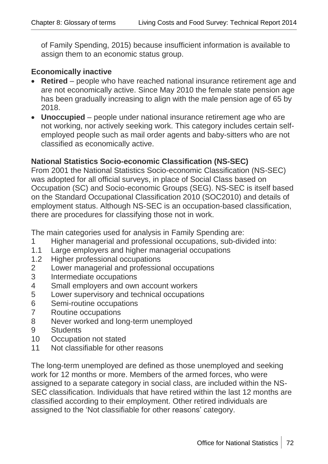of Family Spending, 2015) because insufficient information is available to assign them to an economic status group.

## **Economically inactive**

- Retired people who have reached national insurance retirement age and are not economically active. Since May 2010 the female state pension age has been gradually increasing to align with the male pension age of 65 by 2018.
- **Unoccupied** people under national insurance retirement age who are not working, nor actively seeking work. This category includes certain selfemployed people such as mail order agents and baby-sitters who are not classified as economically active.

## **National Statistics Socio-economic Classification (NS-SEC)**

From 2001 the National Statistics Socio-economic Classification (NS-SEC) was adopted for all official surveys, in place of Social Class based on Occupation (SC) and Socio-economic Groups (SEG). NS-SEC is itself based on the Standard Occupational Classification 2010 (SOC2010) and details of employment status. Although NS-SEC is an occupation-based classification, there are procedures for classifying those not in work.

The main categories used for analysis in Family Spending are:

- 1 Higher managerial and professional occupations, sub-divided into:
- 1.1 Large employers and higher managerial occupations
- 1.2 Higher professional occupations
- 2 Lower managerial and professional occupations
- 3 Intermediate occupations
- 4 Small employers and own account workers
- 5 Lower supervisory and technical occupations
- 6 Semi-routine occupations
- 7 Routine occupations
- 8 Never worked and long-term unemployed
- 9 Students
- 10 Occupation not stated
- 11 Not classifiable for other reasons

The long-term unemployed are defined as those unemployed and seeking work for 12 months or more. Members of the armed forces, who were assigned to a separate category in social class, are included within the NS-SEC classification. Individuals that have retired within the last 12 months are classified according to their employment. Other retired individuals are assigned to the 'Not classifiable for other reasons' category.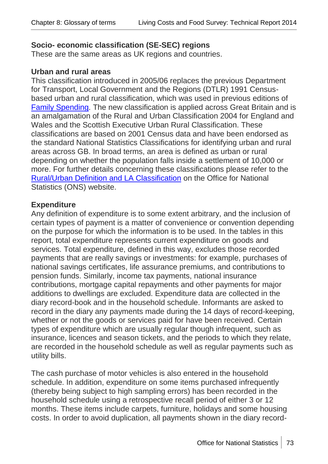# **Socio- economic classification (SE-SEC) regions**

These are the same areas as UK regions and countries.

#### **Urban and rural areas**

This classification introduced in 2005/06 replaces the previous Department for Transport, Local Government and the Regions (DTLR) 1991 Censusbased urban and rural classification, which was used in previous editions of [Family Spending.](http://www.ons.gov.uk/ons/rel/family-spending/family-spending/index.html) The new classification is applied across Great Britain and is an amalgamation of the Rural and Urban Classification 2004 for England and Wales and the Scottish Executive Urban Rural Classification. These classifications are based on 2001 Census data and have been endorsed as the standard National Statistics Classifications for identifying urban and rural areas across GB. In broad terms, an area is defined as urban or rural depending on whether the population falls inside a settlement of 10,000 or more. For further details concerning these classifications please refer to the [Rural/Urban Definition and LA Classification](http://www.ons.gov.uk/ons/guide-method/geography/products/area-classifications/rural-urban-definition-and-la/index.html) on the Office for National Statistics (ONS) website.

#### **Expenditure**

Any definition of expenditure is to some extent arbitrary, and the inclusion of certain types of payment is a matter of convenience or convention depending on the purpose for which the information is to be used. In the tables in this report, total expenditure represents current expenditure on goods and services. Total expenditure, defined in this way, excludes those recorded payments that are really savings or investments: for example, purchases of national savings certificates, life assurance premiums, and contributions to pension funds. Similarly, income tax payments, national insurance contributions, mortgage capital repayments and other payments for major additions to dwellings are excluded. Expenditure data are collected in the diary record-book and in the household schedule. Informants are asked to record in the diary any payments made during the 14 days of record-keeping, whether or not the goods or services paid for have been received. Certain types of expenditure which are usually regular though infrequent, such as insurance, licences and season tickets, and the periods to which they relate, are recorded in the household schedule as well as regular payments such as utility bills.

The cash purchase of motor vehicles is also entered in the household schedule. In addition, expenditure on some items purchased infrequently (thereby being subject to high sampling errors) has been recorded in the household schedule using a retrospective recall period of either 3 or 12 months. These items include carpets, furniture, holidays and some housing costs. In order to avoid duplication, all payments shown in the diary record-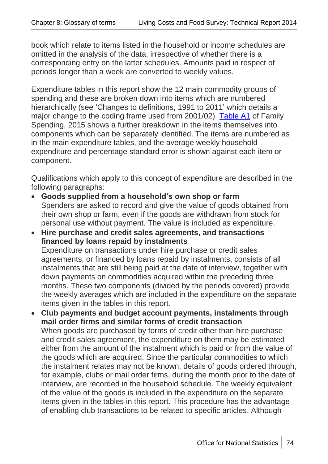book which relate to items listed in the household or income schedules are omitted in the analysis of the data, irrespective of whether there is a corresponding entry on the latter schedules. Amounts paid in respect of periods longer than a week are converted to weekly values.

Expenditure tables in this report show the 12 main commodity groups of spending and these are broken down into items which are numbered hierarchically (see 'Changes to definitions, 1991 to 2011' which details a major change to the coding frame used from 2001/02). [Table A1](http://www.ons.gov.uk/ons/rel/family-spending/family-spending/2014-edition/rft-a1-final---2013.xls) of Family Spending, 2015 shows a further breakdown in the items themselves into components which can be separately identified. The items are numbered as in the main expenditure tables, and the average weekly household expenditure and percentage standard error is shown against each item or component.

Qualifications which apply to this concept of expenditure are described in the following paragraphs:

- **Goods supplied from a household's own shop or farm**  Spenders are asked to record and give the value of goods obtained from their own shop or farm, even if the goods are withdrawn from stock for personal use without payment. The value is included as expenditure.
- **Hire purchase and credit sales agreements, and transactions financed by loans repaid by instalments**  Expenditure on transactions under hire purchase or credit sales agreements, or financed by loans repaid by instalments, consists of all instalments that are still being paid at the date of interview, together with down payments on commodities acquired within the preceding three months. These two components (divided by the periods covered) provide the weekly averages which are included in the expenditure on the separate items given in the tables in this report.
- **Club payments and budget account payments, instalments through mail order firms and similar forms of credit transaction**  When goods are purchased by forms of credit other than hire purchase and credit sales agreement, the expenditure on them may be estimated either from the amount of the instalment which is paid or from the value of the goods which are acquired. Since the particular commodities to which the instalment relates may not be known, details of goods ordered through, for example, clubs or mail order firms, during the month prior to the date of interview, are recorded in the household schedule. The weekly equivalent of the value of the goods is included in the expenditure on the separate items given in the tables in this report. This procedure has the advantage of enabling club transactions to be related to specific articles. Although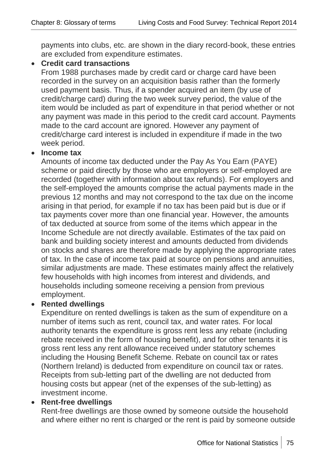payments into clubs, etc. are shown in the diary record-book, these entries are excluded from expenditure estimates.

#### **Credit card transactions**

From 1988 purchases made by credit card or charge card have been recorded in the survey on an acquisition basis rather than the formerly used payment basis. Thus, if a spender acquired an item (by use of credit/charge card) during the two week survey period, the value of the item would be included as part of expenditure in that period whether or not any payment was made in this period to the credit card account. Payments made to the card account are ignored. However any payment of credit/charge card interest is included in expenditure if made in the two week period.

#### **Income tax**

Amounts of income tax deducted under the Pay As You Earn (PAYE) scheme or paid directly by those who are employers or self-employed are recorded (together with information about tax refunds). For employers and the self-employed the amounts comprise the actual payments made in the previous 12 months and may not correspond to the tax due on the income arising in that period, for example if no tax has been paid but is due or if tax payments cover more than one financial year. However, the amounts of tax deducted at source from some of the items which appear in the Income Schedule are not directly available. Estimates of the tax paid on bank and building society interest and amounts deducted from dividends on stocks and shares are therefore made by applying the appropriate rates of tax. In the case of income tax paid at source on pensions and annuities, similar adjustments are made. These estimates mainly affect the relatively few households with high incomes from interest and dividends, and households including someone receiving a pension from previous employment.

# **Rented dwellings**

Expenditure on rented dwellings is taken as the sum of expenditure on a number of items such as rent, council tax, and water rates. For local authority tenants the expenditure is gross rent less any rebate (including rebate received in the form of housing benefit), and for other tenants it is gross rent less any rent allowance received under statutory schemes including the Housing Benefit Scheme. Rebate on council tax or rates (Northern Ireland) is deducted from expenditure on council tax or rates. Receipts from sub-letting part of the dwelling are not deducted from housing costs but appear (net of the expenses of the sub-letting) as investment income.

#### **Rent-free dwellings**

Rent-free dwellings are those owned by someone outside the household and where either no rent is charged or the rent is paid by someone outside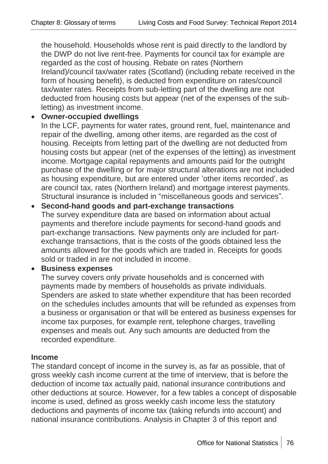the household. Households whose rent is paid directly to the landlord by the DWP do not live rent-free. Payments for council tax for example are regarded as the cost of housing. Rebate on rates (Northern Ireland)/council tax/water rates (Scotland) (including rebate received in the form of housing benefit), is deducted from expenditure on rates/council tax/water rates. Receipts from sub-letting part of the dwelling are not deducted from housing costs but appear (net of the expenses of the subletting) as investment income.

#### **Owner-occupied dwellings**

In the LCF, payments for water rates, ground rent, fuel, maintenance and repair of the dwelling, among other items, are regarded as the cost of housing. Receipts from letting part of the dwelling are not deducted from housing costs but appear (net of the expenses of the letting) as investment income. Mortgage capital repayments and amounts paid for the outright purchase of the dwelling or for major structural alterations are not included as housing expenditure, but are entered under 'other items recorded', as are council tax, rates (Northern Ireland) and mortgage interest payments. Structural insurance is included in "miscellaneous goods and services".

#### **Second-hand goods and part-exchange transactions**

The survey expenditure data are based on information about actual payments and therefore include payments for second-hand goods and part-exchange transactions. New payments only are included for partexchange transactions, that is the costs of the goods obtained less the amounts allowed for the goods which are traded in. Receipts for goods sold or traded in are not included in income.

#### **Business expenses**

The survey covers only private households and is concerned with payments made by members of households as private individuals. Spenders are asked to state whether expenditure that has been recorded on the schedules includes amounts that will be refunded as expenses from a business or organisation or that will be entered as business expenses for income tax purposes, for example rent, telephone charges, travelling expenses and meals out. Any such amounts are deducted from the recorded expenditure.

#### **Income**

The standard concept of income in the survey is, as far as possible, that of gross weekly cash income current at the time of interview, that is before the deduction of income tax actually paid, national insurance contributions and other deductions at source. However, for a few tables a concept of disposable income is used, defined as gross weekly cash income less the statutory deductions and payments of income tax (taking refunds into account) and national insurance contributions. Analysis in Chapter 3 of this report and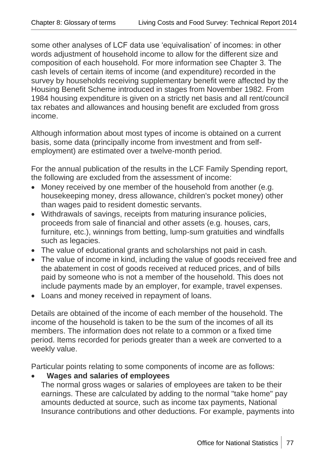some other analyses of LCF data use 'equivalisation' of incomes: in other words adjustment of household income to allow for the different size and composition of each household. For more information see Chapter 3. The cash levels of certain items of income (and expenditure) recorded in the survey by households receiving supplementary benefit were affected by the Housing Benefit Scheme introduced in stages from November 1982. From 1984 housing expenditure is given on a strictly net basis and all rent/council tax rebates and allowances and housing benefit are excluded from gross income.

Although information about most types of income is obtained on a current basis, some data (principally income from investment and from selfemployment) are estimated over a twelve-month period.

For the annual publication of the results in the LCF Family Spending report, the following are excluded from the assessment of income:

- Money received by one member of the household from another (e.g. housekeeping money, dress allowance, children's pocket money) other than wages paid to resident domestic servants.
- Withdrawals of savings, receipts from maturing insurance policies, proceeds from sale of financial and other assets (e.g. houses, cars, furniture, etc.), winnings from betting, lump-sum gratuities and windfalls such as legacies.
- The value of educational grants and scholarships not paid in cash.
- The value of income in kind, including the value of goods received free and the abatement in cost of goods received at reduced prices, and of bills paid by someone who is not a member of the household. This does not include payments made by an employer, for example, travel expenses.
- Loans and money received in repayment of loans.

Details are obtained of the income of each member of the household. The income of the household is taken to be the sum of the incomes of all its members. The information does not relate to a common or a fixed time period. Items recorded for periods greater than a week are converted to a weekly value.

Particular points relating to some components of income are as follows:

 **Wages and salaries of employees** The normal gross wages or salaries of employees are taken to be their earnings. These are calculated by adding to the normal "take home" pay amounts deducted at source, such as income tax payments, National Insurance contributions and other deductions. For example, payments into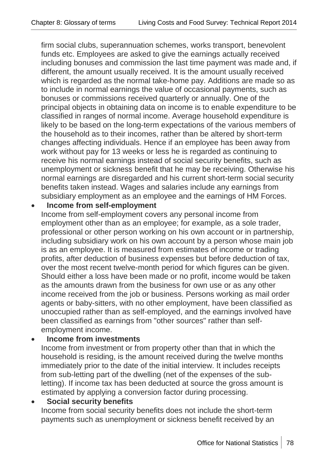firm social clubs, superannuation schemes, works transport, benevolent funds etc. Employees are asked to give the earnings actually received including bonuses and commission the last time payment was made and, if different, the amount usually received. It is the amount usually received which is regarded as the normal take-home pay. Additions are made so as to include in normal earnings the value of occasional payments, such as bonuses or commissions received quarterly or annually. One of the principal objects in obtaining data on income is to enable expenditure to be classified in ranges of normal income. Average household expenditure is likely to be based on the long-term expectations of the various members of the household as to their incomes, rather than be altered by short-term changes affecting individuals. Hence if an employee has been away from work without pay for 13 weeks or less he is regarded as continuing to receive his normal earnings instead of social security benefits, such as unemployment or sickness benefit that he may be receiving. Otherwise his normal earnings are disregarded and his current short-term social security benefits taken instead. Wages and salaries include any earnings from subsidiary employment as an employee and the earnings of HM Forces.

# **Income from self-employment**

Income from self-employment covers any personal income from employment other than as an employee; for example, as a sole trader, professional or other person working on his own account or in partnership, including subsidiary work on his own account by a person whose main job is as an employee. It is measured from estimates of income or trading profits, after deduction of business expenses but before deduction of tax, over the most recent twelve-month period for which figures can be given. Should either a loss have been made or no profit, income would be taken as the amounts drawn from the business for own use or as any other income received from the job or business. Persons working as mail order agents or baby-sitters, with no other employment, have been classified as unoccupied rather than as self-employed, and the earnings involved have been classified as earnings from "other sources" rather than selfemployment income.

#### **Income from investments**

Income from investment or from property other than that in which the household is residing, is the amount received during the twelve months immediately prior to the date of the initial interview. It includes receipts from sub-letting part of the dwelling (net of the expenses of the subletting). If income tax has been deducted at source the gross amount is estimated by applying a conversion factor during processing.

#### **Social security benefits**

Income from social security benefits does not include the short-term payments such as unemployment or sickness benefit received by an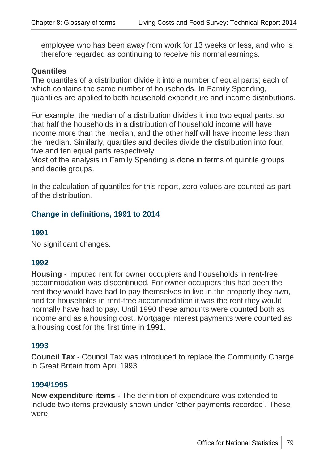employee who has been away from work for 13 weeks or less, and who is therefore regarded as continuing to receive his normal earnings.

#### **Quantiles**

The quantiles of a distribution divide it into a number of equal parts; each of which contains the same number of households. In Family Spending, quantiles are applied to both household expenditure and income distributions.

For example, the median of a distribution divides it into two equal parts, so that half the households in a distribution of household income will have income more than the median, and the other half will have income less than the median. Similarly, quartiles and deciles divide the distribution into four, five and ten equal parts respectively.

Most of the analysis in Family Spending is done in terms of quintile groups and decile groups.

In the calculation of quantiles for this report, zero values are counted as part of the distribution.

# **Change in definitions, 1991 to 2014**

# **1991**

No significant changes.

# **1992**

**Housing** - Imputed rent for owner occupiers and households in rent-free accommodation was discontinued. For owner occupiers this had been the rent they would have had to pay themselves to live in the property they own, and for households in rent-free accommodation it was the rent they would normally have had to pay. Until 1990 these amounts were counted both as income and as a housing cost. Mortgage interest payments were counted as a housing cost for the first time in 1991.

# **1993**

**Council Tax** - Council Tax was introduced to replace the Community Charge in Great Britain from April 1993.

# **1994/1995**

**New expenditure items** - The definition of expenditure was extended to include two items previously shown under 'other payments recorded'. These were: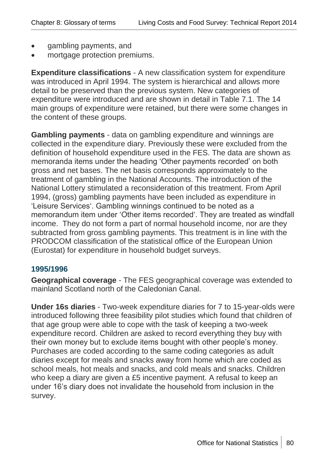- gambling payments, and
- mortgage protection premiums.

**Expenditure classifications** - A new classification system for expenditure was introduced in April 1994. The system is hierarchical and allows more detail to be preserved than the previous system. New categories of expenditure were introduced and are shown in detail in Table 7.1. The 14 main groups of expenditure were retained, but there were some changes in the content of these groups.

**Gambling payments** - data on gambling expenditure and winnings are collected in the expenditure diary. Previously these were excluded from the definition of household expenditure used in the FES. The data are shown as memoranda items under the heading 'Other payments recorded' on both gross and net bases. The net basis corresponds approximately to the treatment of gambling in the National Accounts. The introduction of the National Lottery stimulated a reconsideration of this treatment. From April 1994, (gross) gambling payments have been included as expenditure in 'Leisure Services'. Gambling winnings continued to be noted as a memorandum item under 'Other items recorded'. They are treated as windfall income. They do not form a part of normal household income, nor are they subtracted from gross gambling payments. This treatment is in line with the PRODCOM classification of the statistical office of the European Union (Eurostat) for expenditure in household budget surveys.

#### **1995/1996**

**Geographical coverage** - The FES geographical coverage was extended to mainland Scotland north of the Caledonian Canal.

**Under 16s diaries** - Two-week expenditure diaries for 7 to 15-year-olds were introduced following three feasibility pilot studies which found that children of that age group were able to cope with the task of keeping a two-week expenditure record. Children are asked to record everything they buy with their own money but to exclude items bought with other people's money. Purchases are coded according to the same coding categories as adult diaries except for meals and snacks away from home which are coded as school meals, hot meals and snacks, and cold meals and snacks. Children who keep a diary are given a £5 incentive payment. A refusal to keep an under 16's diary does not invalidate the household from inclusion in the survey.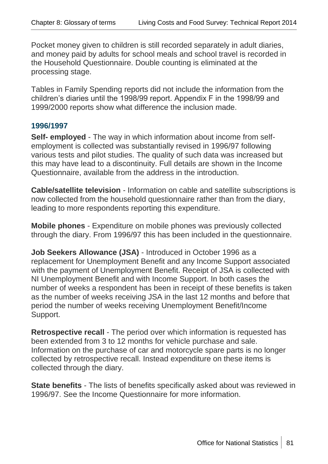Pocket money given to children is still recorded separately in adult diaries, and money paid by adults for school meals and school travel is recorded in the Household Questionnaire. Double counting is eliminated at the processing stage.

Tables in Family Spending reports did not include the information from the children's diaries until the 1998/99 report. Appendix F in the 1998/99 and 1999/2000 reports show what difference the inclusion made.

#### **1996/1997**

**Self- employed** - The way in which information about income from selfemployment is collected was substantially revised in 1996/97 following various tests and pilot studies. The quality of such data was increased but this may have lead to a discontinuity. Full details are shown in the Income Questionnaire, available from the address in the introduction.

**Cable/satellite television** - Information on cable and satellite subscriptions is now collected from the household questionnaire rather than from the diary, leading to more respondents reporting this expenditure.

**Mobile phones** - Expenditure on mobile phones was previously collected through the diary. From 1996/97 this has been included in the questionnaire.

**Job Seekers Allowance (JSA)** - Introduced in October 1996 as a replacement for Unemployment Benefit and any Income Support associated with the payment of Unemployment Benefit. Receipt of JSA is collected with NI Unemployment Benefit and with Income Support. In both cases the number of weeks a respondent has been in receipt of these benefits is taken as the number of weeks receiving JSA in the last 12 months and before that period the number of weeks receiving Unemployment Benefit/Income Support.

**Retrospective recall** - The period over which information is requested has been extended from 3 to 12 months for vehicle purchase and sale. Information on the purchase of car and motorcycle spare parts is no longer collected by retrospective recall. Instead expenditure on these items is collected through the diary.

**State benefits** - The lists of benefits specifically asked about was reviewed in 1996/97. See the Income Questionnaire for more information.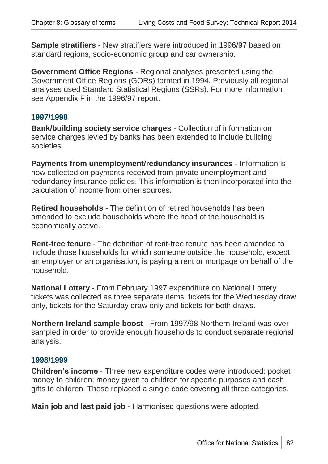**Sample stratifiers** - New stratifiers were introduced in 1996/97 based on standard regions, socio-economic group and car ownership.

**Government Office Regions** - Regional analyses presented using the Government Office Regions (GORs) formed in 1994. Previously all regional analyses used Standard Statistical Regions (SSRs). For more information see Appendix F in the 1996/97 report.

#### **1997/1998**

**Bank/building society service charges** - Collection of information on service charges levied by banks has been extended to include building societies.

**Payments from unemployment/redundancy insurances** - Information is now collected on payments received from private unemployment and redundancy insurance policies. This information is then incorporated into the calculation of income from other sources.

**Retired households** - The definition of retired households has been amended to exclude households where the head of the household is economically active.

**Rent-free tenure** - The definition of rent-free tenure has been amended to include those households for which someone outside the household, except an employer or an organisation, is paying a rent or mortgage on behalf of the household.

**National Lottery** - From February 1997 expenditure on National Lottery tickets was collected as three separate items: tickets for the Wednesday draw only, tickets for the Saturday draw only and tickets for both draws.

**Northern Ireland sample boost** - From 1997/98 Northern Ireland was over sampled in order to provide enough households to conduct separate regional analysis.

#### **1998/1999**

**Children's income** - Three new expenditure codes were introduced: pocket money to children; money given to children for specific purposes and cash gifts to children. These replaced a single code covering all three categories.

**Main job and last paid job** - Harmonised questions were adopted.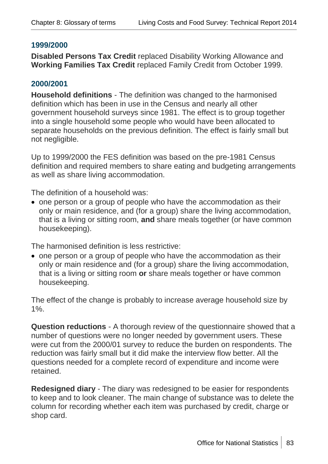#### **1999/2000**

**Disabled Persons Tax Credit** replaced Disability Working Allowance and **Working Families Tax Credit** replaced Family Credit from October 1999.

#### **2000/2001**

**Household definitions** - The definition was changed to the harmonised definition which has been in use in the Census and nearly all other government household surveys since 1981. The effect is to group together into a single household some people who would have been allocated to separate households on the previous definition. The effect is fairly small but not negligible.

Up to 1999/2000 the FES definition was based on the pre-1981 Census definition and required members to share eating and budgeting arrangements as well as share living accommodation.

The definition of a household was:

• one person or a group of people who have the accommodation as their only or main residence, and (for a group) share the living accommodation, that is a living or sitting room, **and** share meals together (or have common housekeeping).

The harmonised definition is less restrictive:

• one person or a group of people who have the accommodation as their only or main residence and (for a group) share the living accommodation, that is a living or sitting room **or** share meals together or have common housekeeping.

The effect of the change is probably to increase average household size by 1%.

**Question reductions** - A thorough review of the questionnaire showed that a number of questions were no longer needed by government users. These were cut from the 2000/01 survey to reduce the burden on respondents. The reduction was fairly small but it did make the interview flow better. All the questions needed for a complete record of expenditure and income were retained.

**Redesigned diary** - The diary was redesigned to be easier for respondents to keep and to look cleaner. The main change of substance was to delete the column for recording whether each item was purchased by credit, charge or shop card.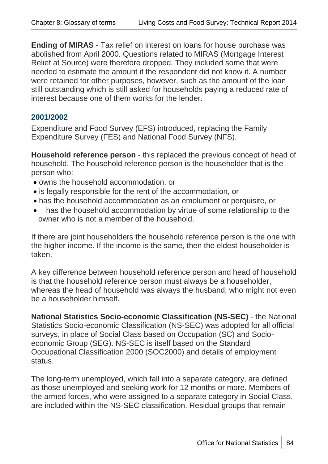**Ending of MIRAS** - Tax relief on interest on loans for house purchase was abolished from April 2000. Questions related to MIRAS (Mortgage Interest Relief at Source) were therefore dropped. They included some that were needed to estimate the amount if the respondent did not know it. A number were retained for other purposes, however, such as the amount of the loan still outstanding which is still asked for households paying a reduced rate of interest because one of them works for the lender.

# **2001/2002**

Expenditure and Food Survey (EFS) introduced, replacing the Family Expenditure Survey (FES) and National Food Survey (NFS).

**Household reference person** - this replaced the previous concept of head of household. The household reference person is the householder that is the person who:

- owns the household accommodation, or
- is legally responsible for the rent of the accommodation, or
- has the household accommodation as an emolument or perquisite, or
- has the household accommodation by virtue of some relationship to the owner who is not a member of the household.

If there are joint householders the household reference person is the one with the higher income. If the income is the same, then the eldest householder is taken.

A key difference between household reference person and head of household is that the household reference person must always be a householder, whereas the head of household was always the husband, who might not even be a householder himself.

**National Statistics Socio-economic Classification (NS-SEC)** - the National Statistics Socio-economic Classification (NS-SEC) was adopted for all official surveys, in place of Social Class based on Occupation (SC) and Socioeconomic Group (SEG). NS-SEC is itself based on the Standard Occupational Classification 2000 (SOC2000) and details of employment status.

The long-term unemployed, which fall into a separate category, are defined as those unemployed and seeking work for 12 months or more. Members of the armed forces, who were assigned to a separate category in Social Class, are included within the NS-SEC classification. Residual groups that remain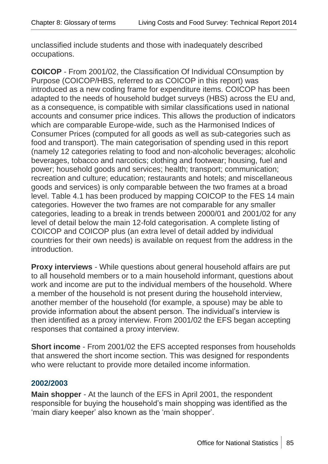unclassified include students and those with inadequately described occupations.

**COICOP** - From 2001/02, the Classification Of Individual COnsumption by Purpose (COICOP/HBS, referred to as COICOP in this report) was introduced as a new coding frame for expenditure items. COICOP has been adapted to the needs of household budget surveys (HBS) across the EU and, as a consequence, is compatible with similar classifications used in national accounts and consumer price indices. This allows the production of indicators which are comparable Europe-wide, such as the Harmonised Indices of Consumer Prices (computed for all goods as well as sub-categories such as food and transport). The main categorisation of spending used in this report (namely 12 categories relating to food and non-alcoholic beverages; alcoholic beverages, tobacco and narcotics; clothing and footwear; housing, fuel and power; household goods and services; health; transport; communication; recreation and culture; education; restaurants and hotels; and miscellaneous goods and services) is only comparable between the two frames at a broad level. Table 4.1 has been produced by mapping COICOP to the FES 14 main categories. However the two frames are not comparable for any smaller categories, leading to a break in trends between 2000/01 and 2001/02 for any level of detail below the main 12-fold categorisation. A complete listing of COICOP and COICOP plus (an extra level of detail added by individual countries for their own needs) is available on request from the address in the introduction.

**Proxy interviews** - While questions about general household affairs are put to all household members or to a main household informant, questions about work and income are put to the individual members of the household. Where a member of the household is not present during the household interview, another member of the household (for example, a spouse) may be able to provide information about the absent person. The individual's interview is then identified as a proxy interview. From 2001/02 the EFS began accepting responses that contained a proxy interview.

**Short income** - From 2001/02 the EFS accepted responses from households that answered the short income section. This was designed for respondents who were reluctant to provide more detailed income information.

# **2002/2003**

**Main shopper** - At the launch of the EFS in April 2001, the respondent responsible for buying the household's main shopping was identified as the 'main diary keeper' also known as the 'main shopper'.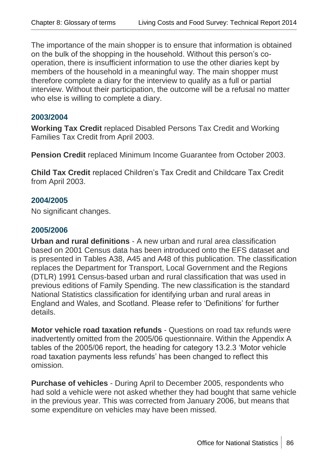The importance of the main shopper is to ensure that information is obtained on the bulk of the shopping in the household. Without this person's cooperation, there is insufficient information to use the other diaries kept by members of the household in a meaningful way. The main shopper must therefore complete a diary for the interview to qualify as a full or partial interview. Without their participation, the outcome will be a refusal no matter who else is willing to complete a diary.

#### **2003/2004**

**Working Tax Credit** replaced Disabled Persons Tax Credit and Working Families Tax Credit from April 2003.

**Pension Credit** replaced Minimum Income Guarantee from October 2003.

**Child Tax Credit** replaced Children's Tax Credit and Childcare Tax Credit from April 2003.

#### **2004/2005**

No significant changes.

#### **2005/2006**

**Urban and rural definitions** - A new urban and rural area classification based on 2001 Census data has been introduced onto the EFS dataset and is presented in Tables A38, A45 and A48 of this publication. The classification replaces the Department for Transport, Local Government and the Regions (DTLR) 1991 Census-based urban and rural classification that was used in previous editions of Family Spending. The new classification is the standard National Statistics classification for identifying urban and rural areas in England and Wales, and Scotland. Please refer to 'Definitions' for further details.

**Motor vehicle road taxation refunds** - Questions on road tax refunds were inadvertently omitted from the 2005/06 questionnaire. Within the Appendix A tables of the 2005/06 report, the heading for category 13.2.3 'Motor vehicle road taxation payments less refunds' has been changed to reflect this omission.

**Purchase of vehicles** - During April to December 2005, respondents who had sold a vehicle were not asked whether they had bought that same vehicle in the previous year. This was corrected from January 2006, but means that some expenditure on vehicles may have been missed.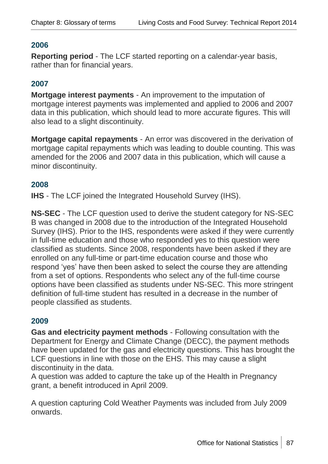#### **2006**

**Reporting period** - The LCF started reporting on a calendar-year basis, rather than for financial years.

# **2007**

**Mortgage interest payments** - An improvement to the imputation of mortgage interest payments was implemented and applied to 2006 and 2007 data in this publication, which should lead to more accurate figures. This will also lead to a slight discontinuity.

**Mortgage capital repayments** - An error was discovered in the derivation of mortgage capital repayments which was leading to double counting. This was amended for the 2006 and 2007 data in this publication, which will cause a minor discontinuity.

# **2008**

**IHS** - The LCF joined the Integrated Household Survey (IHS).

**NS-SEC** - The LCF question used to derive the student category for NS-SEC B was changed in 2008 due to the introduction of the Integrated Household Survey (IHS). Prior to the IHS, respondents were asked if they were currently in full-time education and those who responded yes to this question were classified as students. Since 2008, respondents have been asked if they are enrolled on any full-time or part-time education course and those who respond 'yes' have then been asked to select the course they are attending from a set of options. Respondents who select any of the full-time course options have been classified as students under NS-SEC. This more stringent definition of full-time student has resulted in a decrease in the number of people classified as students.

# **2009**

**Gas and electricity payment methods** - Following consultation with the Department for Energy and Climate Change (DECC), the payment methods have been updated for the gas and electricity questions. This has brought the LCF questions in line with those on the EHS. This may cause a slight discontinuity in the data.

A question was added to capture the take up of the Health in Pregnancy grant, a benefit introduced in April 2009.

A question capturing Cold Weather Payments was included from July 2009 onwards.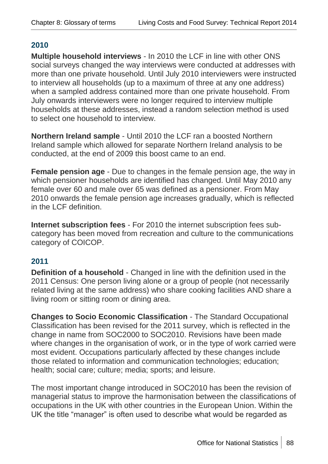# **2010**

**Multiple household interviews** - In 2010 the LCF in line with other ONS social surveys changed the way interviews were conducted at addresses with more than one private household. Until July 2010 interviewers were instructed to interview all households (up to a maximum of three at any one address) when a sampled address contained more than one private household. From July onwards interviewers were no longer required to interview multiple households at these addresses, instead a random selection method is used to select one household to interview.

**Northern Ireland sample** - Until 2010 the LCF ran a boosted Northern Ireland sample which allowed for separate Northern Ireland analysis to be conducted, at the end of 2009 this boost came to an end.

**Female pension age** - Due to changes in the female pension age, the way in which pensioner households are identified has changed. Until May 2010 any female over 60 and male over 65 was defined as a pensioner. From May 2010 onwards the female pension age increases gradually, which is reflected in the LCF definition.

**Internet subscription fees** - For 2010 the internet subscription fees subcategory has been moved from recreation and culture to the communications category of COICOP.

# **2011**

**Definition of a household** - Changed in line with the definition used in the 2011 Census: One person living alone or a group of people (not necessarily related living at the same address) who share cooking facilities AND share a living room or sitting room or dining area.

**Changes to Socio Economic Classification** - The Standard Occupational Classification has been revised for the 2011 survey, which is reflected in the change in name from SOC2000 to SOC2010. Revisions have been made where changes in the organisation of work, or in the type of work carried were most evident. Occupations particularly affected by these changes include those related to information and communication technologies; education; health; social care; culture; media; sports; and leisure.

The most important change introduced in SOC2010 has been the revision of managerial status to improve the harmonisation between the classifications of occupations in the UK with other countries in the European Union. Within the UK the title "manager" is often used to describe what would be regarded as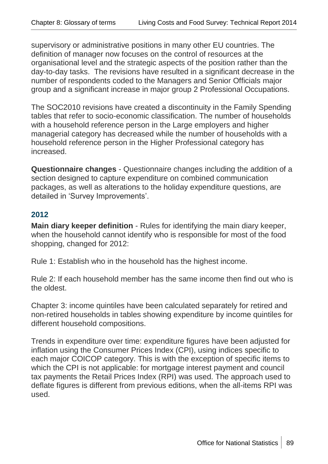supervisory or administrative positions in many other EU countries. The definition of manager now focuses on the control of resources at the organisational level and the strategic aspects of the position rather than the day-to-day tasks. The revisions have resulted in a significant decrease in the number of respondents coded to the Managers and Senior Officials major group and a significant increase in major group 2 Professional Occupations.

The SOC2010 revisions have created a discontinuity in the Family Spending tables that refer to socio-economic classification. The number of households with a household reference person in the Large employers and higher managerial category has decreased while the number of households with a household reference person in the Higher Professional category has increased.

**Questionnaire changes** - Questionnaire changes including the addition of a section designed to capture expenditure on combined communication packages, as well as alterations to the holiday expenditure questions, are detailed in 'Survey Improvements'.

#### **2012**

**Main diary keeper definition** - Rules for identifying the main diary keeper, when the household cannot identify who is responsible for most of the food shopping, changed for 2012:

Rule 1: Establish who in the household has the highest income.

Rule 2: If each household member has the same income then find out who is the oldest.

Chapter 3: income quintiles have been calculated separately for retired and non-retired households in tables showing expenditure by income quintiles for different household compositions.

Trends in expenditure over time: expenditure figures have been adjusted for inflation using the Consumer Prices Index (CPI), using indices specific to each major COICOP category. This is with the exception of specific items to which the CPI is not applicable: for mortgage interest payment and council tax payments the Retail Prices Index (RPI) was used. The approach used to deflate figures is different from previous editions, when the all-items RPI was used.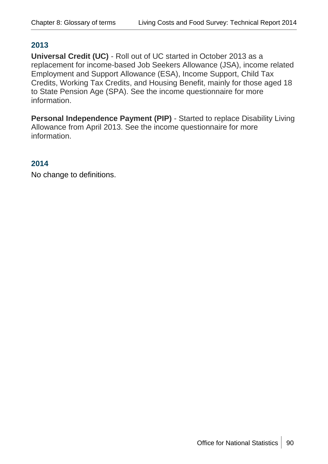# **2013**

**Universal Credit (UC)** - Roll out of UC started in October 2013 as a replacement for income-based Job Seekers Allowance (JSA), income related Employment and Support Allowance (ESA), Income Support, Child Tax Credits, Working Tax Credits, and Housing Benefit, mainly for those aged 18 to State Pension Age (SPA). See the income questionnaire for more information.

**Personal Independence Payment (PIP)** - Started to replace Disability Living Allowance from April 2013. See the income questionnaire for more information.

# **2014**

No change to definitions.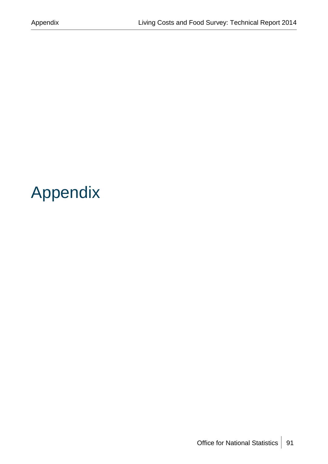# Appendix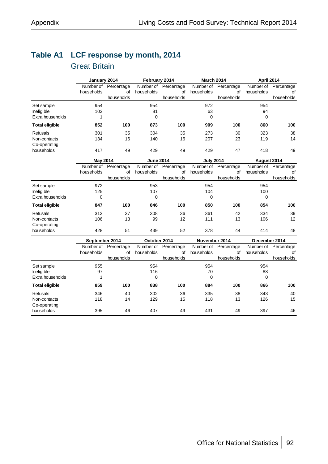# **Table A1 LCF response by month, 2014**  Great Britain

|                       | January 2014    |                      | February 2014    |                      | <b>March 2014</b> |                      | April 2014    |                      |
|-----------------------|-----------------|----------------------|------------------|----------------------|-------------------|----------------------|---------------|----------------------|
|                       |                 | Number of Percentage | Number of        | Percentage           |                   | Number of Percentage | Number of     | Percentage           |
|                       | households      | of                   | households       | of                   | households        | of                   | households    | οf                   |
|                       |                 | households           |                  | households           |                   | households           |               | households           |
| Set sample            | 954             |                      | 954              |                      | 972               |                      | 954           |                      |
| Ineligible            | 103             |                      | 81               |                      | 63                |                      | 94            |                      |
| Extra households      | 1               |                      | $\mathbf 0$      |                      | $\Omega$          |                      | $\mathbf 0$   |                      |
| <b>Total eligible</b> | 852             | 100                  | 873              | 100                  | 909               | 100                  | 860           | 100                  |
| <b>Refusals</b>       | 301             | 35                   | 304              | 35                   | 273               | 30                   | 323           | 38                   |
| Non-contacts          | 134             | 16                   | 140              | 16                   | 207               | 23                   | 119           | 14                   |
| Co-operating          |                 |                      |                  |                      |                   |                      |               |                      |
| households            | 417             | 49                   | 429              | 49                   | 429               | 47                   | 418           | 49                   |
|                       | <b>May 2014</b> |                      | <b>June 2014</b> |                      | <b>July 2014</b>  |                      | August 2014   |                      |
|                       |                 | Number of Percentage | Number of        | Percentage           |                   | Number of Percentage | Number of     | Percentage           |
|                       | households      | of                   | households       | of                   | households        | of                   | households    | οf                   |
|                       |                 | households           |                  | households           |                   | households           |               | households           |
| Set sample            | 972             |                      | 953              |                      | 954               |                      | 954           |                      |
| Ineligible            | 125             |                      | 107              |                      | 104               |                      | 100           |                      |
| Extra households      | 0               |                      | $\mathbf 0$      |                      | $\Omega$          |                      | $\Omega$      |                      |
| <b>Total eligible</b> | 847             | 100                  | 846              | 100                  | 850               | 100                  | 854           | 100                  |
| Refusals              | 313             | 37                   | 308              | 36                   | 361               | 42                   | 334           | 39                   |
| Non-contacts          | 106             | 13                   | 99               | 12                   | 111               | 13                   | 106           | 12                   |
| Co-operating          |                 |                      |                  |                      |                   |                      |               |                      |
| households            | 428             | 51                   | 439              | 52                   | 378               | 44                   | 414           | 48                   |
|                       | September 2014  |                      | October 2014     |                      | November 2014     |                      | December 2014 |                      |
|                       |                 | Number of Percentage |                  | Number of Percentage |                   | Number of Percentage |               | Number of Percentage |
|                       | households      | οf                   | households       | of                   | households        | of                   | households    | οf                   |
|                       |                 | households           |                  | households           |                   | households           |               | households           |
| Set sample            | 955             |                      | 954              |                      | 954               |                      | 954           |                      |
| Ineligible            | 97              |                      | 116              |                      | 70                |                      | 88            |                      |
| Extra households      | $\mathbf 1$     |                      | 0                |                      | $\Omega$          |                      | $\mathbf 0$   |                      |
| <b>Total eligible</b> | 859             | 100                  | 838              | 100                  | 884               | 100                  | 866           | 100                  |
| Refusals              | 346             | 40                   | 302              | 36                   | 335               | 38                   | 343           | 40                   |
| Non-contacts          | 118             | 14                   | 129              | 15                   | 118               | 13                   | 126           | 15                   |
| Co-operating          |                 |                      |                  |                      |                   |                      |               |                      |
| households            | 395             | 46                   | 407              | 49                   | 431               | 49                   | 397           | 46                   |